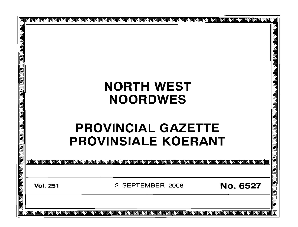| ▣<br>¢ |  |                 |                            |  |                   |  |  |  |                 |                  |
|--------|--|-----------------|----------------------------|--|-------------------|--|--|--|-----------------|------------------|
| 回回     |  |                 |                            |  |                   |  |  |  |                 | 렌린               |
|        |  |                 |                            |  |                   |  |  |  |                 |                  |
|        |  |                 |                            |  |                   |  |  |  |                 |                  |
|        |  |                 |                            |  |                   |  |  |  |                 |                  |
|        |  |                 |                            |  |                   |  |  |  |                 |                  |
|        |  |                 |                            |  |                   |  |  |  |                 | <b>PIPIPIPIP</b> |
|        |  |                 |                            |  |                   |  |  |  |                 |                  |
|        |  |                 |                            |  |                   |  |  |  |                 |                  |
|        |  |                 |                            |  | <b>NORTH WEST</b> |  |  |  |                 |                  |
|        |  |                 |                            |  |                   |  |  |  |                 |                  |
|        |  |                 |                            |  | <b>NOORDWES</b>   |  |  |  |                 |                  |
|        |  |                 |                            |  |                   |  |  |  |                 |                  |
|        |  |                 |                            |  |                   |  |  |  |                 |                  |
|        |  |                 | <b>PROVINCIAL GAZETTE</b>  |  |                   |  |  |  |                 |                  |
|        |  |                 |                            |  |                   |  |  |  |                 |                  |
|        |  |                 | <b>PROVINSIALE KOERANT</b> |  |                   |  |  |  |                 |                  |
|        |  |                 |                            |  |                   |  |  |  |                 |                  |
|        |  |                 |                            |  |                   |  |  |  |                 |                  |
|        |  |                 |                            |  |                   |  |  |  |                 | 리디데리             |
|        |  |                 |                            |  |                   |  |  |  |                 |                  |
|        |  |                 |                            |  |                   |  |  |  |                 |                  |
|        |  | <b>Vol. 251</b> |                            |  | 2 SEPTEMBER 2008  |  |  |  | <b>No. 6527</b> |                  |
|        |  |                 |                            |  |                   |  |  |  |                 |                  |
|        |  |                 |                            |  |                   |  |  |  |                 | כ<br>כ           |
|        |  |                 |                            |  |                   |  |  |  |                 |                  |
|        |  |                 |                            |  |                   |  |  |  |                 | 佪                |
|        |  |                 |                            |  |                   |  |  |  |                 |                  |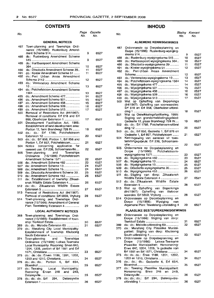### **CONTENTS INHOUD**

|     |                                           | IVU. | IYU. |
|-----|-------------------------------------------|------|------|
|     |                                           |      |      |
|     | <b>GENERAL NOTICES</b>                    |      |      |
| 487 | Town-planning and Townships Ordi-         |      |      |
|     | nance (15/1986): Rustenburg Amend-        |      |      |
|     |                                           | 9    | 6527 |
| 488 | do.: Rustenburg Amendment Scheme          |      |      |
|     |                                           | 9    | 6527 |
| 489 | do.: Hartbeespoort Amendment Scheme       |      |      |
|     |                                           | 10   | 6527 |
|     | do.: Ditsobotla Amendment Scheme 29       |      | 6527 |
| 490 |                                           | 11   |      |
| 491 | do.: Koster Amendment Scheme 51           | 11   | 6527 |
| 492 | do.: Peri Urban Areas Amendment           |      |      |
|     |                                           | 12   | 6527 |
| 493 | do.: Ventersdorp Amendment Scheme         |      |      |
|     |                                           | 13   | 6527 |
| 494 | do.: Potchefstroom Amendment Scheme       |      |      |
|     |                                           | 13   | 6527 |
| 495 | do.: Amendment Scheme 477                 | 14   | 6527 |
| 496 | do.: Amendment Scheme 501                 | 15   | 6527 |
| 497 | do.: Amendment Scheme 458                 | 15   | 6527 |
| 498 | do.: Amendment Scheme 509                 | 16   | 6527 |
| 499 | do.: Amendment Scheme 513                 | 17   | 6527 |
| 500 | Removal of Restrictions Act (84/1967):    |      |      |
|     |                                           |      |      |
|     | Removal of conditions: Erf 618 and Erf    |      |      |
|     | 958, Oberholzer Extension 1               | 17   | 6527 |
| 501 | Development Facilitation Act, 1995:       |      |      |
|     | Establishment of land development area:   |      |      |
|     | Portion 12, farm Brandwagt 728 IN         | 18   | 6527 |
| 502 | do.: do.: Erf 1788, Potchefstroom         |      |      |
|     |                                           | 20   | 6527 |
| 503 | do.: do.: Erf 856, Portion 1, Erf 856 and |      |      |
|     | Portion 1, Erf 857, Potchefstroom         | 21   | 6527 |
| 504 | Notice concerning application for         |      |      |
|     | consent use: Erf 238, Schoemansville      | 22   | 6527 |
| 505 | Town-planning and Townships               |      |      |
|     |                                           |      |      |
|     | Ordinance (15/1986): Potchefstroom        |      |      |
|     | Amendment Scheme 1571                     | 22   | 6527 |
| 506 | do.: Amendment Scheme 482                 | 23   | 6527 |
| 507 | do.: Amendment Scheme 13                  | 24   | 6527 |
| 508 | do.: Amendment Scheme 15                  | 24   | 6527 |
| 509 | do.: Ditsobotla Amendment Scheme 30.      | 25   | 6527 |
| 510 | do.: Amendment Scheme 453                 | 26   | 6527 |
| 511 | do.: Establishment of township: Zilkaat-  |      |      |
|     | snek Wildlife Estate Extension 4          | 26   | 6527 |
| 512 | do.: do.: Zilkaatsnek Wildlife Estate     |      |      |
|     | Extension 5                               | 27   | 6527 |
| 513 | Removal of Restrictions Act (84/1967):    |      |      |
|     | Removal of conditions: Erf 5859, Vryburg  | 28   | 6527 |
| 514 | Town-planning and Townships Ordi-         |      |      |
|     |                                           |      |      |
|     | nance (15/1986): Amendment of General     |      |      |
|     | Plan: Tswelelang Extension 4              | 29   | 6527 |
|     | <b>LOCAL AUTHORITY NOTICES</b>            |      |      |
|     |                                           |      |      |
| 368 | Town-planning and Townships Ordi-         |      |      |
|     | nance (15/1986): Establishment of town-   |      |      |
|     |                                           | 30   | 6527 |
| 369 | do.: do.: Melodie Extension 60            | 31   | 6527 |
| 370 | do.: Merafong City Local Municipality:    |      |      |
|     | Establishment of township: Khutsong       |      |      |
|     |                                           | 32   | 6527 |
| 374 | Town-planning and Townships               |      |      |
|     | Ordinance (15/1986): Lekwa-Teemane        |      |      |
|     | Local Municipality: Rezoning: Erven 640,  |      |      |
|     | 1204, 1205, portion of Erf 1551 and Erf   |      |      |
|     |                                           | 33   | 6527 |
| 375 | do.: do.: do.: Erven 1189, 1201, 1202,    |      |      |
|     | 1203 and 1210, Christiana                 | 34   | 6527 |
|     |                                           |      |      |
| 376 | do.: do.: do.: Portion 6, Erf 654,        |      |      |
|     |                                           | 35   | 6527 |
| 377 | do.: Tswaing Local Municipality:          |      |      |
|     | Rezoning: Erven 248 and 249,              |      |      |
|     |                                           | 35   | 6527 |
| 378 | do.: do.: do.: Erf 294, Delareyville      |      |      |
|     |                                           | 36   | 6527 |
|     |                                           |      |      |

#### No. *Page Gazette* No. No. No. Bladsy Koerant No. No.

#### **ALGEMENE KENNISGEWINGS**

| 487 | Ordonnansie op Dorpsbeplanning en         |    |      |
|-----|-------------------------------------------|----|------|
|     | Dorpe (15/1986): Rustenburg-wysiging-     |    |      |
|     |                                           | 9  | 6527 |
| 488 | do.: Rustenburg-wysigingskema 515         | 10 | 6527 |
| 489 | do.: Hartbeespoort-wysigingskema 364      | 10 | 6527 |
| 490 | do.: Ditsobotla-wysigingskema 29          | 11 | 6527 |
| 491 | do.: Koster-wysigingskema 51              | 12 | 6527 |
| 492 | do.: Peri-Urban Areas Amendment           |    |      |
|     |                                           |    |      |
|     |                                           | 12 | 6527 |
| 493 | do.: Ventersdorp-wysigingskema 10         | 13 | 6527 |
| 494 | do.: Potchefstroom-wysigingskema 1564     | 14 | 6527 |
| 495 | do.: Wysigingskema 477                    | 14 | 6527 |
| 496 | do.: Wysigingskema 501                    | 15 | 6527 |
|     |                                           |    | 6527 |
| 497 | do.: Wysigingskema 458                    | 16 |      |
| 498 | do.: Wysigingskema 509                    | 16 | 6527 |
| 499 | do.: Wysigingskema 513                    | 17 | 6527 |
| 500 | Wet op Opheffing van Beperkings           |    |      |
|     | (84/1967): Opheffing van voorwaardes:     |    |      |
|     | Erf 618 en Erf 958, Oberholzer-uitbrei-   |    |      |
|     |                                           |    |      |
|     |                                           | 18 | 6527 |
| 501 | Wet op Ontwikkelingsfasilitering, 1995:   |    |      |
|     | Stigting van grondontwikkelingsgebied:    |    |      |
|     | Gedeelte 12, plaas Brandwagt 728 IN       | 19 | 6527 |
| 502 | do.: do.: Erf 1788, Potchefstroom-uitbrei |    |      |
|     |                                           | 20 | 6527 |
|     |                                           |    |      |
| 503 | do.: do.: Erf 856, Gedeelte 1, Erf 876 en |    |      |
|     | Gedeelte 1, Erf 857, Potchefstroom        | 21 | 6527 |
| 504 | Kennisgewing van aansoek vir toes-        |    |      |
|     | temmingsgebruik: Erf 238, Schoemans-      |    |      |
|     | ville                                     | 22 | 6527 |
|     |                                           |    |      |
| 505 | Ordonnansie op Dorpsbeplanning en         |    |      |
|     | Dorpe (15/1986): Potchefstroom-           |    |      |
|     | wysigingskema 1571                        | 23 | 6527 |
| 506 | do.: Wysigingskema 482                    | 23 | 6527 |
| 507 | do.: Wysigingskema 13                     | 24 | 6527 |
|     |                                           |    |      |
| 508 | do.: Wysigingskema 15                     | 25 | 6527 |
| 509 | do.: Ditsobotla-wysigingskema 30          | 25 | 6527 |
| 510 | do.: Wysigingskema 453                    | 26 | 6527 |
| 511 | do.: Stigting van dorp: Zilkaatsnek       |    |      |
|     | Wildlife Estate Extension 4               | 27 | 6527 |
|     |                                           |    |      |
| 512 | do.: do.: Zilkaatsnek Wildlife Estate     |    |      |
|     |                                           | 28 | 6527 |
| 513 | Opheffing van Beperkings<br>Wet<br>op     |    |      |
|     | (84/1967): Opheffing van titelvoor        |    |      |
|     | waardes: Erf 5859, Vryburg                | 28 | 6527 |
|     | Ordonnansie op Dorpsbeplanning en         |    |      |
| 514 |                                           |    |      |
|     | (15/1986): Wysiging<br>Dorpe<br>van       |    |      |
|     | Algemene Plan: Tswelelang-uitbreiding 4   | 29 | 6527 |
|     |                                           |    |      |
|     | PLAASLIKE BESTUURSKENNISGEWINGS           |    |      |
| 368 | Ordonnansie op Dorpsbeplanning en         |    |      |
|     | Dorpe (15/1986): Stigting van dorp:       |    |      |
|     |                                           | 31 | 6527 |
|     |                                           |    |      |
| 369 | do.: do.: Melodie-uitbreiding 60          | 32 | 6527 |
| 370 | do.: Merafong City Plaaslike Munisi-      |    |      |
|     | paliteit: Stigting van dorp: Khutsong     |    |      |
|     |                                           | 33 | 6527 |
| 374 | Ordonnansie op Dorpsbeplanning en         |    |      |
|     |                                           |    |      |
|     | (15/1986): Lekwa-Teemane<br>Dorpe         |    |      |
|     | Plaaslike Munisipaliteit: Hersonering:    |    |      |
|     | Erwe 640, 1204, 1205, 'n gedeelte van     |    |      |
|     | Erf 1551 en Erf 1571, Christiana          | 34 | 6527 |
| 375 | do.: do.: do.: Erwe 1189, 1201, 1202,     |    |      |
|     | 1203 en 1210, Christiana                  | 34 | 6527 |
|     |                                           |    |      |
| 376 | do.: do.: do.: Gedeelte 6, Erf 654,       |    |      |
|     |                                           | 35 | 6527 |
| 377 | do.: Tswaing Plaaslike Munisipaliteit:    |    |      |
|     | Hersonering: Erwe 248 en 249,             |    |      |
|     |                                           | 36 | 6527 |
|     |                                           |    |      |
| 378 | do.: do.: do.: Erf 294, Delareyville-     |    |      |
|     |                                           | 36 | 6527 |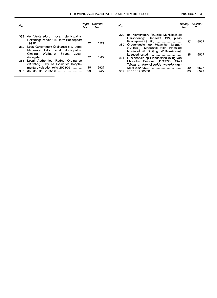| No. |                                                                                                                 | Page<br>No. | Gazette<br>No. | No. |                                                                                                                          | Bladsv<br>No. | Koerant<br>No. |
|-----|-----------------------------------------------------------------------------------------------------------------|-------------|----------------|-----|--------------------------------------------------------------------------------------------------------------------------|---------------|----------------|
| 379 | do.: Ventersdorp Local Municipality:<br>Rezoning: Portion 193, farm Roodepoort                                  | 37          | 6527           |     | 379 do.: Ventersdorp Plaaslike Munisipaliteit:<br>Hersonering: Gedeelte 193, plaas                                       | 37            | 6527           |
| 380 | Local Government Ordinance (17/1939):<br>Maguassi Hills Local Municipality:<br>Closing: Wolfaardt Street, Leeu- |             |                |     | 380 Ordonnansie op Plaaslike Bestuur<br>(17/1939): Maquassi Hills Plaaslike<br>Munisipaliteit: Sluiting: Wolfaardstraat, |               |                |
| 381 | Local Authorities Rating Ordinance<br>$(11/1977)$ : City of Tshwane: Supple-                                    | 37          | 6527           |     | 381 Ordonnansie op Eiendomsbelasting van<br>Plaaslike Besture (11/1977): Stad<br>Tshwane: Aanvullendde waarderings-      | 38            | 6527           |
|     | mentary valuation rolls: 2004/05                                                                                | 38          | 6527           |     |                                                                                                                          | 39            | 6527           |
| 382 |                                                                                                                 | 39          | 6527           | 382 |                                                                                                                          | 39            | 6527           |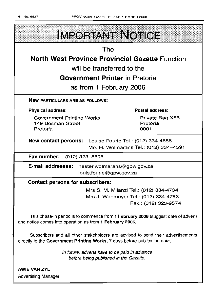

**AWIE VAN ZYL** Advertising Manager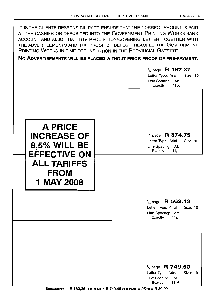$\Gamma$ 

| IT IS THE CLIENTS RESPONSIBILITY TO ENSURE THAT THE CORRECT AMOUNT IS PAID<br>AT THE CASHIER OR DEPOSITED INTO THE GOVERNMENT PRINTING WORKS BANK<br>ACCOUNT AND ALSO THAT THE REQUISITION/COVERING LETTER TOGETHER WITH<br>THE ADVERTISEMENTS AND THE PROOF OF DEPOSIT REACHES THE GOVERNMENT<br>PRINTING WORKS IN TIME FOR INSERTION IN THE PROVINCIAL GAZETTE.<br>NO ADVERTISEMENTS WILL BE PLACED WITHOUT PRIOR PROOF OF PRE-PAYMENT. | $\frac{1}{4}$ page R 187.37<br>Letter Type: Arial<br>Size: 10<br>Line Spacing: At:<br>Exactly<br>11pt |
|-------------------------------------------------------------------------------------------------------------------------------------------------------------------------------------------------------------------------------------------------------------------------------------------------------------------------------------------------------------------------------------------------------------------------------------------|-------------------------------------------------------------------------------------------------------|
| <b>A PRICE</b><br><b>INCREASE OF</b><br><b>8,5% WILL BE</b><br><b>EFFECTIVE ON</b><br><b>ALL TARIFFS</b><br><b>FROM</b><br>1 MAY 2008                                                                                                                                                                                                                                                                                                     | $\frac{1}{4}$ page R 374.75<br>Letter Type: Arial<br>Size: 10<br>Line Spacing: At:<br>Exactly<br>11pt |
|                                                                                                                                                                                                                                                                                                                                                                                                                                           | $\frac{1}{4}$ page R 562.13<br>Letter Type: Arial<br>Size: 10<br>Line Spacing: At:<br>Exactly<br>11pt |
|                                                                                                                                                                                                                                                                                                                                                                                                                                           | $\frac{1}{4}$ page R 749.50<br>Size: 10<br>Letter Type: Arial<br>Line Spacing: At:<br>Exactly<br>11pt |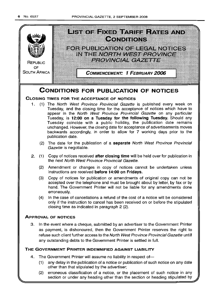

- (1) any delay in the publication of a notice or publication of such notice on any date other than that stipulated by the advertiser;
- (2) erroneous classification of a notice, or the placement of such notice in any section or under any heading other than the section or heading stipulated by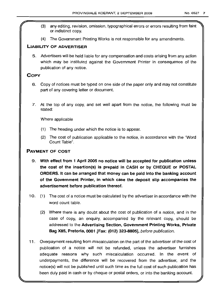- (3) any editing, revision, omission, typographical errors or errors resulting from faint or indistinct copy.
- (4) The Government Printing Works is not responsible for any amendments.

### LIABILITY OF ADVERTISER

5. Advertisers will be held liable for any compensation and costs arising from any action which may be instituted against the Government Printer in consequence of the publication of any notice.

### **COPY**

- 6. Copy of notices must be typed on one side of the paper only and may not constitute part of any covering letter or document.
- 7. At the top of any copy, and set well apart from the notice, the following must be stated:

Where applicable

- (1) The heading under which the notice is to appear.
- (2) The cost of publication applicable to the notice, in accordance with the "Word Count Table".

### PAYMENT OF COST

- 9. With effect from 1 April 2005 no notice will be accepted for publication unless the cost of the insertion(s) is prepaid in CASH or by CHEQUE or POSTAL ORDERS. It can be arranged that money can be paid into the banking account of the Government Printer, in which case the deposit slip accompanies the advertisement before publication thereof.
- 10. (1) The cost of a notice must be calculated by the advertiser in accordance with the word count table.
	- (2) Where there is any doubt about the cost of publication of a notice, and in the case of copy, an enquiry, accompanied by the relevant copy, should be addressed to the Advertising Section, Government Printing Works, Private Bag X85, Pretoria, 0001 [Fax: (012) 323-8805], before publication.
- 11 . Overpayment resulting from miscalculation on the part of the advertiser of the cost of publication of a notice will not be refunded, unless the advertiser furnishes adequate reasons why such miscalculation occurred. In the event of underpayments, the difference will be recovered from the advertiser, and the notice(s) will not be published until such time as the full cost of such publication has been duly paid in cash or by cheque or postal orders, or into the banking account.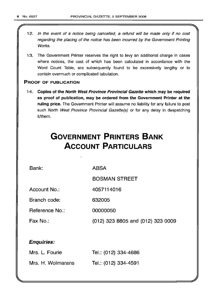- 12. In the event of a notice being cancelled, a refund will be made only if no cost regarding the placing of the notice has been incurred by the Government Printing Works.
- 13. The Government Printer reserves the right to levy an additional charge in cases where notices, the cost of which has been calculated in accordance with the Word Count Table, are subsequently found to be excessively lengthy or to contain overmuch or complicated tabulation.

### PROOF OF PUBLICATION

14. Copies of the North West Province Provincial Gazette which may be required as proof of publication, may be ordered from the Government Printer at the ruling price. The Government Printer will assume no liability for any failure to post such North West Province Provincial Gazette(s) or for any delay in despatching it/them.

# **GOVERNMENT PRINTERS BANK ACCOUNT PARTICULARS**

Bank:

ABSA

BOSMAN STREET

Account No.: 4057114016

Branch code: 632005

Reference No.: 00000050

Fax No.: (012) 323 8805 and (012) 323 0009

### Enquiries:

| Mrs. L. Fourie    | Tel.: (012) 334-4686 |
|-------------------|----------------------|
| Mrs. H. Wolmarans | Tel.: (012) 334-4591 |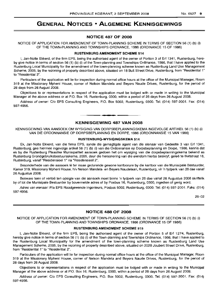### **GENERAL NOTICES • ALGEMENE KENNISGEWINGS**

#### **NOTICE 487 OF 2008**

NOTICE OF APPLICATION FOR AMENDMENT OF TOWN-PLANNING SCHEME IN TERMS OF SECTION 56 (1) (b) (i) OF THE TOWN-PLANNING AND TOWNSHIPS ORDNANCE, 1986 (ORDINANCE 15 OF 1986)

#### **RUSTENBURG AMENDMENT SCHEME 514**

I, Jan-Nolte Ekkerd, of the firm EPS, being the authorised agent of the owner of Portion 3 of Erf 1341, Rustenburg, hereby give notice in terms of section 56 (1) (b) (i) of the Town-planning and Townships Ordinance, 1986, that I have applied to the Rustenburg Local Municipality for the amendment of the town-planning scheme known as Rustenburg Land Use Management Scheme, 2005, by the rezoning of property described above, situated on 18 Bult Street Drive, Rustenburg, from "Residential 1" to "Residential 2".

Particulars of the application will lie for inspection during normal office hours at the office of the Municipal Manager, Room 319 at the Missionary Mpheni House, corner of Nelson Mandela and Beyers Naude Drives, Rustenburg, for the period of 28 days from 26 August 2008.

Objections to or representations in respect of the application must be lodged with or made in writing to the Municipal Manager at the above address or at P.O. Box 16, Rustenburg, 0300, within a period of 28 days from 26 August 2008.

Address of owner: C/o EPS Consulting Engineers, P.O. Box 5002, Rustenburg, 0300. Tel: (014) 597-2001. Fax: (014) 597-4956.

#### **KENNISGEWING 487 VAN 2008**

**• •**

KENNISGEWING VAN AANSOEK OM WYSIGING VAN DORPSBEPLANNINGSKEMA INGEVOLGE ARTIKEL 56 (1) (b) (i) VAN DIE ORDONNANSIE OP DORPSBEPLANNING EN DORPE, 1986 (ORDONNANSIE 15 VAN 1986)

#### **RUSTENBURG-WYSIGINGSKEMA 514**

Ek, Jan-Nolte Ekkerd, van die firma EPS, synde die gemagtigde agent van die eienaar van Gedeelte 3 van Erf 1341, Rustenburg, gee hiermee ingevolge artikel 56 (1) (b) (i) van die Ordonnansie op Dorpsbeplanning en Dorpe, 1986, kennis dat ek by die Rustenburg Plaaslike Munisipaliteit aansoek gedoen het om wysiging van die dorpsbeplanningskema bekend as Rustenburg Grondgebruiksbestuursskema, 2005, deur die hersonering van die eiendom hierbo beskryf, gelee te Bultstraat 18, Rustenburg, vanaf "Residensieel 1" na "Residensieel 2".

Besonderhede van die aansoek lê ter insae gedurende gewone kantoorure by die kantoor van die Munisipale Bestuurder, Kamer 319, Missionary Mpheni House, h/v Nelson Mandela- en Beyers Naudelaan, Rustenburg, vir 'n tydperk van 28 dae vanaf 26 Augustus 2008.

Besware teen of vertoe ten opsigte van die aansoek moet binne 'n tydperk van 28 dae vanaf 26 Augustus 2008 skriftelik by of tot die Munisipale Bestuurder by bovermelde adres of by Posbus 16, Rustenburg, 0300, ingedien of gerig word.

Adres van eienaar: Pia EPS Raadgewende Ingenieurs, Posbus 5002, Rustenburg, 0300. Tel: (014) 597-2001. Faks: (014) 597-4956.

26-02

#### **NOTICE 488 OF 2008**

NOTICE OF APPLICATION FOR AMENDMENT OF TOWN-PLANNING SCHEME IN TERMS OF SECTION 56 (1) (b) (i) OF THE TOWN-PLANNING AND TOWNSHIPS ORDNANCE, 1986 (ORDINANCE 15 OF 1986)

#### **RUSTENBURG AMENDMENT SCHEME 515**

I, Jan-Nolte Ekkerd, of the firm EPS, being the authorised agent of the owner of Portion 5 of Erf 1274, Rustenburg, hereby give notice in terms of section 56 (1) (b) (i) of the Town-planning and Townships Ordinance, 1986, that I have applied to the Rustenburg Local Municipality for the amendment of the town-planning scheme known as Rustenburg Land Use Management Scheme, 2005, by the rezoning of property described above, situated on 202B Joubert Street Drive, Rustenburg, from "Residential 1" to "Residential 2".

Particulars of the application will lie for inspection during normal office hours at the office of the Municipal Manager, Room 319 at the Missionary Mpheni House, corner of Nelson Mandela and Beyers Naude Drives, Rustenburg. for the period of 28 days from 26 August 2008.

Objections to or representations in respect of the application must be lodged with or made in writing to the Municipal Manager at the above address or at P.O. Box 16, Rustenburg, 0300, within a period of 28 days from 26 August 2008.

Address of owner: C/o EPS Consulting Engineers, P.O. Box 5002, Rustenburg, 0300. Tel: (014) 597-2001. Fax: (014) 597-4956.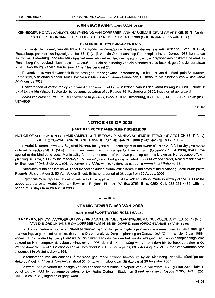#### **KENNISGEWING 488 VAN 2008**

#### KENNISGEWING VAN MNSOEK OM WYSIGING VAN DORPSBEPLANNINGSKEMA INGEVOLGE ARTIKEL 56 (1) (b) (i) VAN DIE ORDONNANSIE OP DORPSBEPLANNING EN DORPE, 1986 (ORDONNANSIE 15 VAN 1986)

#### **RUSTENBURG-WYSIGINGSKEMA** 515

Ek, Jan-Nolte Ekkerd, van die firma EPS, synde die gemagtigde agent van die eienaar van Gedeelte 5 van Erf 1274, Rustenburg, gee hiermee ingevolge artikel 56 (1) (b) (i) van die Ordonnansie op Dorpsbeplanning en Dorpe, 1986, kennis dat ek by die Rustenburg Plaaslike Munisipaliteit aansoek gedoen het om wysiging van die dorpsbeplanningskema bekend as Rustenburg Grondgebruiksbestuursskema, 2005, deur die hersonering van die eiendom hierbo beskryf, geleë te Joubertstraat 202B, Rustenburg, vanaf "Residensieel 1" na "Residensieel 2".

Besonderhede van die aansoek lê ter insae gedurende gewone kantoorure by die kantoor van die Munisipale Bestuurder, Kamer 319, Missionary Mpheni House, h/v Nelson Mandela- en Beyers Naudelaan, Rustenburg, vir 'n tydperk van 28 dae vanaf 26 Augustus 2008.

Besware teen of vertoe ten opsigte van die aansoek moet binne 'n tydperk van 28 dae vanaf 26 Augustus 2008 skriftelik by of tot die Munisipale Bestuurder by bovermelde adres of by Posbus 16, Rustenburg, 0300, ingedien of gerig word.

Adres van eienaar: Pia EPS Raadgewende Ingenieurs, Posbus 5002, Rustenburg, 0300. Tel: (014) 597-2001. Faks: (014) 597-4956.

26-02

#### **NOTICE 489 OF 2008**

#### **HARTBEESPOORT AMENDMENT SCHEME** 364

NOTICE OF APPLICATION FOR AMENDMENT OF THE TOWN-PLANNING SCHEME IN TERMS OF SECTION 56 (1) (b) (i) OF THE TOWN-PLANNING AND TOWNSHIPS ORDINANCE, 1986 (ORDINANCE 15 OF 1986)

I, Hedre Dednam Town and Regional Planner, being the authorized agent of the owner of Erf 440, Ifafi, hereby give notice in terms of section 56 (1) (b) (i) of the Town-planning and Townships Ordinance, 1986 (Ordinance 15 of 1986), that I have applied to the Madibeng Local Municipality for the amendment of the town-planning scheme known as Hartbeespoort Townplanning Scheme, 1993, by the rezoning of the property described above, situated in 97 Ou Wapad Street, from "Residential 1" to "Business 2" (H8, 2 storeys, 60% coverage, 1.2 FAR), with conditions as set out in Amendment Scheme 364.

Particulars of the application will lie for inspection during normal office hours at the office of the Madibeng Local Municipality, Records Division, Floor 2, 53 Van Velden Street, Brits, for a period of 28 days from 26 August 2008.

Objections to or representations in respect of the application must be lodged with or made in writing at the CEO at the above address or at Hedre Dednam Town and Regional Planner, PO Box 3765, Brits, 0250, Cell: 083 251 4432, within a period of 28 days from 26 August 2008.

#### **KENNISGEWING 489 VAN 2008**

**• •**

#### **HARTBEESPOORT-WYSIGINGSKEMA** 364

KENNISGEWING VAN AANSOEK OM WYSIGING VAN DORPSBEPLANNINGSKEMA INGEVOLGE ARTIKEL 56 (1) (b) (i) VAN DIE ORDONNANSIE OP DORPSBEPLANNING EN DORPE, 1986 (ORDONNANSIE 15 VAN 1986)

Ek, Hedre Dednam Stads- en Streekbeplanner, synde die gemagtigde agent van die eienaar van Erf 440, Ifafi, gee hiermee ingevolge artikel 56 (1) (b) (i) van die Ordonnansie op Dorpsbeplanning en Dorpe, 1986 (Ordonnansie 15 van 1986), kennis dat ek by die Madibeng Plaaslike Munisipaliteit aansoek gedoen het om die wysiging van die dorpsbeplanningskema bekend as Hartbeespoort-dorpsbeplanningskema, 1993, deur die hersonering van die eiendom hierbo beskryf, gelee in Ou Wapadstraat 97, vanaf "Residensieel 1" na "Besigheid 2" (H8, 2 verdiepings, 60% dekking, 1.2 VRV), met voorwaardes soos uiteengesit in Wysigingskema 364.

Besonderhede van die aansoek lê ter insae gedurende gewone kantoorure by die Madibeng Plaaslike Munisipaliteit, Rekords Afdeling, Vloer 2, Van Veldenstraat 53, Brits, vir 'n tydperk van 28 dae vanaf 26 Augustus 2008.

Besware teen of vertoe ten opsigte van die aansoek moet binne 'n tydperk van 28 dae vanaf 26 Augustus 2008 skriftelik by of tot die HUB by bovermelde adres of by Hedre Dednam Stads- en Streekbeplanner, Posbus 3765, Brits, 0250, Sel: 083 251 4432, ingedien of gerig word.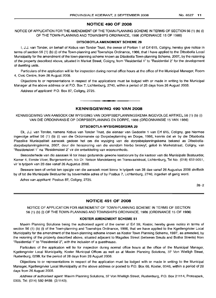#### NOTICE 490 OF 2008

NOTICE OF APPLICATION FOR THE AMENDMENT OF THE TOWN-PLANNING SCHEME IN TERMS OF SECTION 56 (1) (b) (i) OF THE TOWN-PLANNING AND TOWNSHIPS ORDINANCE, 1986 (ORDINANCE 15 OF 1986)

#### DITSOBOTLA AMENDMENT SCHEME 29

I, J.J. van Tonder, on behalf of Kobus van Tonder Trust, the owner of Portion 1 of Erf 615, Coligny, hereby give notice in terms of section 56 (1) (b) (i) of the Town-planning and Townships Ordinance, 1986, that I have applied to the Ditsobotla Local Municipality for the amendment of the town-planning scheme known as Ditsobotla Town-planning Scheme, 2007, by the rezoning of the property described above, situated in Market Street, Coligny, from "Residential 1" to "Residential 2" for the development of dwelling units.

Particulars of the application will lie for inspection during normal office hours at the office of the Municipal Manager, Room 4, Civic Centre, from 26 August 2008.

Objections to or representations in respect of the applications must be lodged with or made in writing to the Municipal Manager at the above address or at P.O. Box 7, Lichtenburg, 2740, within a period of 28 days from 26 August 2008.

Address of applicant: P.O. Box 87, Coligny, 2725.

### **- I** KENNISGEWING 490 VAN 2008

KENNISGEWING VAN AANSOEK OM WYSIGING VAN DORPSBEPLANNINGSKEMA INGEVOLGE ARTIKEL 56 (1) (b) (i) VAN DIE ORDONNANSIE OP DORPSBEPLANNING EN DORPE, 1986 (ORDONNANSIE 15 VAN 1986)

#### DITSOBOTLA-WYSIGINGSKEMA 29

Ek, J.J. van Tonder, namens Kobus van Tonder Trust, die eienaar van Gedeelte 1 van Erf 615, Coligny, gee hiermee ingevolge artikel 56 (1) (b) (i) van die Ordonnansie op Dorpsbeplanning en Dorpe, 1986, kennis dat ek by die Ditsobotla Plaaslike Munisipaliteit aansoek gedoen het om die wysiging van die dorpsbeplanningskema bekend as Ditsobotladorpsbeplanningskema, 2007, deur die hersonering van die eiendom hierbo beskryf, gelee in Marketstraat, Coligny, van "Residensieel 1" na "Residensieel 2" vir die ontwikkeling van wooneenhede.

Besonderhede van die aansoek lê ter insae gedurende gewone kantoorure by die kantoor van die Munisipale Bestuurder, Kamer 4, Eerste Vloer, Burgersentrum, h/v Dr. Nelson Mandelaweg en Transvaalstraat, Lichtenburg, Tel No. (018) 632-5051, vir 'n tydperk van 28 dae vanaf 26 Augustus 2008.

Besware teen of vertoe ten opsigte van die aansoek moet binne 'n tydperk van 28 dae vanaf 26 Augustus 2008 skriftelik by of tot die Munisipale Bestuurder by bovermelde adres of by Posbus 7, Lichtenburg, 2740, ingedien of gerig word.

Adres van applikant: Posbus 87, Coligny, 2725.

26-2

#### NOTICE 491 OF 2008

NOTICE OF APPLICATION FOR AMENDMENT OF TOWN-PLANNING SCHEME IN TERMS OF SECTION 56 (1) (b) (i) OF THE TOWN-PLANNING AND TOWNSHIPS ORDINANCE, 1986 (ORDINANCE 15 OF 1986)

#### KOSTER AMENDMENT SCHEME 51

Maxim Planning Solutions being the authorised agent of the owner of Erf 59, Koster, hereby gives notice in terms of section 56 (1) (b) (i) of the Town-planning and Townships Ordinance, 1986, that we have applied to the Kgetlengrivier Local Municipality for the amendment of the town-planning scheme known as Koster Town Planning Scheme, 1997, as amended, by the rezoning of the property described above, situated adjacent to Magalies Street (between Smuts and Botha Streets) from "Residential 1" to "Residential 2", with the inclusion of a guesthouse.

Particulars of the application will lie for inspection during normal office hours at the office of the Municipal Manager, Kgetlengrivier Local Municipality, Koster Municipal Offices as well as at Maxim Planning Solutions, 37 Von Wielligh Street, Rustenburg, 0299, for the period of 28 days from 26 August 2008.

Objections to or representations in respect of the application must be lodged with or made in writing to the Municipal Manager, Kgetlengrivier Local Municipality at the above address or posted to P.O. Box 66, Koster, 0348, within a period of 28 days from 26 August 2008.

Address of authorised agent: Maxim Planning Solutions, 37 Von Wielligh Street, Rustenburg, P.O. Box 21114, Proteapark, 0305. Tel: (014) 592-9489. (2/1143).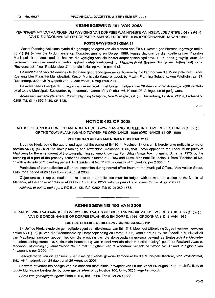#### KENNISGEWING 491 VAN 2008

KENNISGEWING VAN AANSOEK OM WYSIGING VAN DORPSBEPLANNINGSKEMA INGEVOLGE ARTIKEL 56 (1) (b) (i) VAN DIE ORDONNANSIE OP DORPSBEPLANNING EN DORPE, 1986 (ORDONNANSIE 15 VAN 1986)

#### KOSTER-WYSIGINGSKEMA 51

Maxim Planning Solutions synde die gemagtigde agent van die eienaar van Erf 59, Koster, gee hiermee ingevolge artikel 56 (1) (b) (i) van die Ordonnansie op Dorpsbeplanning en Dorpe, 1986, kennis dat ons by die Kgetlengrivier Plaaslike Munisipaliteit aansoek gedoen het om die wysiging van die Koster-dorpsbeplanningskema, 1997, soos gewysig, deur die hersonering van die eiendom hierbo beskryf, qelee aanliggend tot Magaliesstraat (tussen Smuts- en Bothastraat) vanaf "Residensieel 1" na "Residensieel 2", met die insluiting van 'n gastehuis.

Besonderhede van die aansoek lê ter insae gedurende gewone kantoorure by die kantoor van die Munisipale Bestuurder: Kgetlengrivier Plaaslike Munisipaliteit, Koster Munisipale Kantore, asook by Maxim Planning Solutions, Von Wiellighstraat 37, Rustenburg, 0299, vir 'n tydperk van 28 dae vanaf 26 Augustus 2008.

Besware teen of vertoë ten opsigte van die aansoek moet binne 'n tydperk van 28 dae vanaf 26 Augustus 2008 skriftelik by of tot die Munisipale Bestuurder, by bovermelde adres of by Posbus 66, Koster, 0348, ingedien of gerig word.

Adres van gemagtigde agent: Maxim Planning Solutions, Von Wiellighstraat 37, Rustenburg, Posbus 21114, Proteapark, 0305. Tel: (014) 592-9489. (2/1143).

26-2

#### NOTICE 492 OF 2008

NOTICE OF APPLICATION FOR AMENDMENT OF TOWN-PLANNING SCHEME IN TERMS OF SECTION 56 (1) (b) (ii) OF THE TOWN-PLANNING AND TOWNSHIPS ORDINANCE, 1986 (ORDINANCE 15 OF 1986)

#### PERI URBAN AREAS AMENDMENT SCHEME 2112

I, Jeff de Klerk, being the authorised agent of the owner of Erf 1011, Mooinooi Extension 3, hereby give notice in terms of section 56 (1) (b) (ii) of the Town-planning and Townships Ordinance, 1986, that I have applied to the Local Municipality of Madibeng for the amendment of the town-planning scheme known as Peri Urban Areas Town-planning Scheme, 1975, by the rezoning of a part of the property described above, situated at 8 Rowland Drive, Mooinooi Extension 3, from "Residential No. 1" with a density of "1 dwelling per erf" to "Residential No. 1" with a density of "1 dwelling per 2 000 m<sup>2</sup>".

Particulars of the application will lie for inspection during normal office hours at the Municipal Offices, Van Velden Street, Brits, for a period of 28 days from 26 August 2008.

Objections to or representations in respect of the application must be lodged with or made in writing to the Municipal Manager, at the above address or at PO Box 106, Brits, 0250, within a period of 28 days from 26 August 2008.

Address of authorised agent: PO Box 105, Ifafi, 0260. Tel: (012) 259-1688 .

#### KENNISGEWING 492 VAN 2008

**•**

KENNISGEWING VAN AANSOEK OM WYSIGING VAN DORPSBEPLANNINGSKEMA INGEVOLGE ARTIKEL 56 (1) (b) (ii) VAN DIE ORDONNANSIE OP DORPSBEPLANNING EN DORPE, 1986 (ORDONNANSIE 15 VAN 1986)

#### BUITESTEDELIKE GEBIEDE-WYSIGINGSKEMA 2112

Ek, Jeff de Klerk, synde die gemagtigde agent van die eienaar van Erf 1011, Mooinooi Uitbreiding 3, gee hiermee ingevolge artikel 56 (1) (b) (ii) van die Ordonnansie op Dorpsbeplanning en Dorpe, 1986, kennis dat ek by die Plaaslike Munisipaliteit van Madibeng aansoek gedoen het om die wysiging van die dorpsbeplanningskema bekend as Buitestedelike Gebiededorpsbeplanningskema, 1975, deur die hersonering van 'n deel van die eiedom hierbo beskryf, gelee te Rowlandrylaan 8, Mooinooi Uitbreiding 3, vanaf "Woon No.1" met 'n digtheid van "1 woonhuis per erf' na "Woon No.1" met 'n digtheid van "1 woonhuis per 2 000 m<sup>2</sup>".

Besonderhede van die aansoek lê ter insae gedurende gewone kantoorure by die Munisipale Kantore, Van Veldenstraat, Brits, vir 'n tydperk van 28 dae vanaf 26 Augustus 2008.

Besware of vertoë ten opsigte van die aansoek moet binne 'n tydperk van 28 dae vanaf 26 Augustus 2008 skriftelik by of tot die Munisipale Bestuurder by bovermelde adres of by Posbus 106, Brits, 0250, ingedien word.

Adres van gemagtigde agent: Posbus 105, Ifafi, 0260. Tel: (012) 259-1688.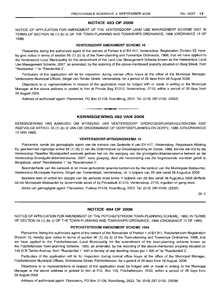#### NOTICE 493 OF 2008

NOTICE OF APPLICATION FOR AMENDMENT OF THE VENTERSDORP LAND USE MANAGEMENT SCHEME 2007 IN TERMS OF SECTION 56 (1) (b) (i) OF THE TOWN-PLANNING AND TOWNSHIPS ORDINANCE, 1986 (ORDINANCE 15 OF 1986)

#### VENTERSDORP AMENDMENT SCHEME 10

Plancentre, being the authorized agent of the owners of Portion 4 of Erf 417, Ventersdorp, Registration Division IQ, hereby give notice in terms of section 56 (1) (b) (i) of the Town-planning and Townships Ordinance, 1986, that we have applied to the Ventersdorp Local Municipality for the amendment of the Land Use Management Scheme known as the Ventersdorp Land Use Management Scheme, 2007, as amended, by the rezoning of the above-mentioned property situated on Berg Street, from "Residential 1" to "Residential 2".

Particulars of the application will lie for inspection during normal office hours at the office of the Municipal Manager, Ventersdorp Municipal Offices, Singel van Tonder Street, Ventersdorp, for a period of 28 days from 26 August 2008.

Objections to or representations in respect of the application must be lodged with or made in writing to the Municipal Manager at the above address or posted to him at Private Bag X1010, ventersdorp, 2710, within a period of 28 days from 26 August 2008.

Address of authorised agent: Plancentre, PO Box 21108, Noordbrug, 2522. Tel: (018) 297-0100. (2832)

#### KENNISGEWING 493 VAN 2008

**•**

KENNISGEWING VAN AANSOEK OM WYSIGING VAN VENTERSDORP GRONDGEBRUIKBEHEERSKEMA 2007 INGEVOLGE ARTIKEL 56 (1) (b) (i) VAN DIE ORDONNANSIE OP DORPSBEPLANNING EN DORPE, 1986 (ORDONNANSIE 15 VAN 1986)

#### VENTERSDORP-WYSIGINGSKEMA 10

Plancentre, synde die gemagtigde agent van die eienaar van Gedeelte 4 van Erf 417, Ventersdorp, Registrasie Afdeling IQ, gee hiermee ingevolge artikel 56 (1) (b) (i) van die Ordonnansie op Dorpsbeplanning en Dorpe, 1986, kennis dat ons by die Ventersdorp Plaaslike Munisipaliteit aansoek gedoen het om die wysiging van die grondgebruikbeheerskema bekend as die Ventersdorp-Grondgebruikbeheerskema, 2007, soos gewysig, deur die hersonering van die bogenoemde eiendom geleë te Bergstraat, vanaf "Residensieel 1" na "Residensieel 2".

Besonderhede van die aansoek lê ter insae gedurende gewone kantoorure by die kantoor van die Munisipale Bestuurder, Ventersdorp Munisipale Kantore, Singel van Tonderstraat, Ventersdorp, vir 'n tydperk van 28 dae vanaf 26 Augustus 2008.

Besware teen of vertoë ten opsigte van die aansoek moet binne 'n tydperk van 28 dae vanaf 26 Augustus 2008 skriftelik tot die Munisipale Bestuurder by bovermelde adres of by Privaatsak X1010, Ventersdorp, 2710, ingedien of gerig word.

Adres van gemagtigde agent: Plancentre, Posbus 21108, Noordbrug, 2522. Tel: (018) 297-0100. (2832)

26-2

#### NOTICE 494 OF 2008

NOTICE OF APPLICATION FOR AMENDMENT OF THE POTCHEFSTROOM TOWN-PLANNING SCHEME, 1980, IN TERMS OF SECTION 56 (1) (b) (i) OF THE TOWN-PLANNING AND TOWNSHIPS ORIDNANCE, 1986 (ORDINANCE 15 OF 1986)

#### POTCHEFSTROOM AMENDMENT SCHEME 1564

Plancentre, being the authorized agent of the owners of the Remainder of Portion 1 of Erf 311, Potchefstroom Registration Division IQ, hereby give notice in terms of section 56 (1) (b) (i) of the Town-planning and Townships Ordinance, 1986, that we have applied to the Potchefstrooom Local Municipality for the amendment of the town-planning scheme known as the Potchefstroom Town-planning Scheme, 1980, as amended, by the rezoning of the above-mentioned property situated on 149 O R Tambo Avenue, from "Residential 1" with a density of one dwelling house per 1 000 m<sup>2</sup> to "Residential 2".

Particulars of the application will lie for inspection during normal office hours at the office of the Municipal Manager, Potchefstroom Municipal Offices, Wolmarans Street, Potchefstroom, for a period of 28 days from 26 August 2008.

Objections to or representations in respect of the application must be lodged with or made in writing to the Municipal Manager at the above address or posted to him at P.O. Box 113, Potchefstroom, 2520, within a period of 28 days from 26 August 2008.

Address of authorised agent: Plancentre, PO Box 21108, Noordbrug, 2522. Tel: (018) 297-0100. (2839)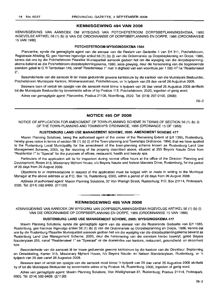#### KENNISGEWING 494 VAN 2008

KENNISGEWING VAN AANSOEK OM WYSIGING VAN POTCHEFSTROOM DORPSBEPLANNINGSKEMA, 1980 INGEVOLGE ARTIKEL 56 (1) (b) (i) VAN DIE ORDONNANSIE OP DORPSBEPLANNING EN DORPE, 1986 (ORDONNANSIE 15 VAN 1986)

#### POTCHEFSTROOM-WYSIGINGSKEMA 1564

Plancentre, synde die gemagtigde agent van die eienaar van die Restant van Gedeelte 1 van Erf 311, Potchefstroom, Registrasie Afdeling IQ, gee hiermee ingevolge artikel 56 (1) (b) (i) van die Ordonnansie op Dorpsbeplanning en Dorpe, 1986, kennis dat ons by die Potchefstroom Plaaslike Munisipaliteit aansoek gedoen het om die wysiging van die dorpsbeplanningskema bekend as die Potchefstroom-dorpsbeplanningskema, 1980, soos gewysig, deur die hersonering van die bogenoemde eiendom geleë te O R Tambolaan 149, vanaf "Residensieel 1" met 'n digtheid van een woonhuis per 1 000 m<sup>2</sup> na "Residensieel 2".

Besonderhede van die aansoek Ie ter insae gedurende gewone kantoorure by die kantoor van die Munisipale Bestuurder, Potchefstroom Munisipale Kantore, Wolmaransstraat, Potchefstroom, vir 'n tydperk van 28 dae vanaf 26 Augustus 2008.

Besware teen of vertoë ten opsigte van die aansoek moet binne 'n tydperk van 28 dae vanaf 26 Augustus 2008 skriftelik tot die Munisipale Bestuurder by bovermelde adres of by Posbus 113, Potchefstroom, 2520, ingedien of gerig word.

Adres van gemagtigde agent: Plancentre, Posbus 21108, Noordbrug, 2522. Tel: (018) 297-0100. (2839)

26-2

#### NOTICE 495 OF 2008

NOTICE OF APPLICATION FOR AMENDMENT OF TOWN-PLANNING SCHEME IN TERMS OF SECTION 56 (1) (b) (i) OF THE TOWN-PLANNING AND TOWNSHIPS ORDINANCE, 1986 (ORDINANCE 15 OF 1986)

#### RUSTENBURG LAND USE MANAGEMENT SCHEME, 2005: AMENDMENT SCHEME 477

Maxim Planning Solutions, being the authorised agent of the owner of the Remaining Extent of Erf 1385, Rustenburg, hereby gives notice in terms of section 56 (1) (b) (i) of the Town-planning and Townships Ordinance, 1986, that we have applied to the Rustenburg Local Municipality for the amendment of the town-planning scheme known as Rustenburg Land Use Management Scheme, 2005, by the rezoning of the property described above, situated at 255 Beyers Naude Drive from "Residential 1" to "Special" for the purposes of offices, restaurant, health and beauty spa.

Particulars of the application will lie for inspection during normal office hours at the office of the Director: Planning and Development, Room 313, Missionary Mpheni House, c/o Beyers Naude and Nelson Mandela Drive, Rustenburg, for the period of 28 days from 26 August 2008.

Objectlons to or representations in respect of the application must be lodged with or made in writing to the Municipal Manager at the above address or at P.O. Box 16, Rustenburg, 0300, within a period of 28 days from 26 August 2008.

Address of authorised agent: Maxim Planning Solutions, 37 Von Wielligh Street, Rustenburg; P.O. Box 21114, Proteapark, 0305. Tel: (014) 592-9489. (2/1120)

#### KENNISGEWING 495 VAN 2008

**• •**

KENNISGEWING VAN AANSOEK OM WYSIGING VAN DORPSBEPLANNINGSKEMA INGEVOLGE ARTIKEL 56 (1) (b) (i) VAN DIE ORDONNANSIE OP DORPSBEPLANNING EN DORPE, 1986 (ORDONNANSIE 15 VAN 1986)

#### RUSTENBURG LAND USE MANAGEMENT SCHEME, 2005: WYSIGINGSKEMA 477

Maxim Planning Solutions, synde die gemagtigde agent van die eienaar van die Resterende Gedeelte van Erf 1385, Rustenburg, gee hiermee ingevolge artikel 56 (1) (b) (i) van die Ordonnansie op Dorpsbeplanning en Dorpe, 1986, kennis dat ons by die Rustenburg Plaaslike Munisipaliteit aansoek gedoen het om die wysiging van die dorpsbeplanningskema bekend as Rustenburg Land Use Management Scheme, 2005, deur die hersonering van die eiendom hierbo beskryf, gelee Beyers Nauderylaan 255, vanaf "Residensieel 1" na "Spesiaal" vir die doeleindes van kantore, restaurant, gesondheid- en skoonheid spa.

Besonderhede van die aansoek lê ter insae gedurende gewone kantoorure by die kantoor van die Direkteur: Beplanning en Ontwikkeling, Kamer 313, Missionary Mpheni House, h/v Beyers Naude- en Nelson Mandelarylaan, Rustenburg, vir 'n tydperk van 28 dae vanaf 26 Augustus 2008.

Besware teen of vertoë ten opsigte van die aansoek moet binne 'n tydperk van 28 dae vanaf 26 Augustus 2008 skriftelik by of tot die Munisipale Bestuurder by bovermelde adres of by Posbus 16, Rustenburg, 0300, ingedien of gerig word.

Adres van gemagtigde agent: Maxim Planning Solutions, Von Wiellighstraat 37, Rustenburg; Posbus 21114, Proteapark, 0305. Tel: (014) 592-9489. (2/1120)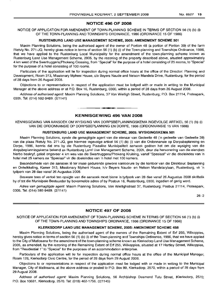#### **NOTICE 496 OF 2008**

NOTICE OF APPLICATION FOR AMENDMENT OF TOWN-PLANNING SCHEME IN TERMS OF SECTION 56 (1) (b) (i) OF THE TOWN-PLANNING AND TOWNSHIPS ORDINANCE, 1986 (ORDINANCE 15 OF 1986)

#### **RUSTENBURG LAND USE MANAGEMENT SCHEME, 2005: AMENDMENT SCHEME 501**

Maxim Planning Solutions, being the authorised agent of the owner of Portion 48 (a portion of Portion 39) of the farm Rietvly No. 271-JQ, hereby gives notice in terms of section 56 (1) (b) (i) of the Town-planning and Townships Ordinance, 1986, that we have applied to the Rustenburg Local Municipality for the amendment of the town-planning scheme known as Rustenburg Land Use Management Scheme, 2005, by the rezoning of the property described above, situated approximately 4 km west of the Swartruggens/Phokeng Crossing, from "Special" for the purpose of a hotel consisting of 25 rooms, to "Special" for the purpose of a hotel consisting of 100 rooms.

Particulars of the application will lie for inspection during normal office hours at the office of the Director: Planning and Development, Room 313, Missionary Mpheni House, c/o Beyers Naude and Nelson Mandela Drive, Rustenburg, for the period of 28 days from 26 August 2008.

Objections to or representations in respect of the application must be lodged with or made in writing to the Municipal Manager at the above address or at P.O. Box 16, Rustenburg, 0300, within a period of 28 days from 26 August 2008.

Address of authorised agent: Maxim Planning Solutions, 37 Von Wielligh Street, Rustenburg; P.O. Box 21114, Proteapark, 0305. Tel: (014) 592-9489. (2/1141)

#### **KENNISGEWING 496 VAN 2008**

I **\_ I**

KENNISGEWING VAN AANSOEK OM WYSIGING VAN DORPSBEPLANNINGSKEMA INGEVOLGE ARTIKEL 56 (1) (b) (i) VAN DIE ORDONNANSIE OP DORPSBEPLANNING EN DORPE, 1986 (ORDONNANSIE 15 VAN 1986)

#### **RUSTENBURG LAND USE MANAGEMENT SCHEME, 2005: WYSIGINGSKEMA 501**

Maxim Planning Solutions, synde die gemagtigde agent van die eienaar van Gedeelte 48 ('n gedeelte van Gedeelte 39) van die plaas Rietvly No. 271-JQ, gee hiermee ingevolge artikel 56 (1) (b) (i) van die Ordonnansie op Dorpsbeplanning en Dorpe, 1986, kennis dat ons by die Rustenburg Plaaslike Munisipaliteit aansoek gedoen het om die wysiging van die dorpsbeplanningskema bekend as Rustenburg Land Use Management Scheme, 2005, deur die hersonering van die eiendom hierbo beskryf, geleë ongeveer 4 km wes van die Swartruggens/Phokeng Kruising, vanaf "Spesiaal" vir die doeleindes van 'n hotel met 25 kamers na "Spesiaal" vir die doeleindes van 'n hotel met 100 kamers.

Besonderhede van die aansoek lê ter insae gedurende gewone kantoorure by die kantoor van die Direkteur: Beplanning en Ontwikkeling, Kamer 313, Missionary Mpheni House, h/v Beyers Naude- en Nelson Mandelarylaan, Rustenburg, vir 'n tydperk van 28 dae vanaf 26 Augustus 2008.

Besware teen of vertoe ten opsigte van die aansoek moet binne 'n tydperk van 28 dae vanaf 26 Augustus 2008 skriftelik by of tot die Munisipale Bestuurder by bovermelde adres of by Posbus 16, Rustenburg, 0300, ingedien of gerig word.

Adres van gemagtigde agent: Maxim Planning Solutions, Von Wiellighstraat 37, Rustenburg; Posbus 21114, Proteapark, 0305. Tel: (014) 592-9489. (2/1141)

26-2

#### **NOTICE 497 OF 2008**

NOTICE OF APPLICATION FOR AMENDMENT OF TOWN-PLANNING SCHEME IN TERMS OF SECTION 56 (1) (b) (i) OF THE TOWN-PLANNING AND TOWNSHIPS ORDINANCE, 1986 (ORDINANCE 15 OF 1986)

#### **KLERKSDORP LAND USE MANAGEMENT SCHEME, 2005: AMENDMENT SCHEME 458**

Maxim Planning Solutions, being the authorised agent of the owners of the Remaining Extent of Erf 255, Wilkoppies, hereby gives notice in terms of section 56 (1) (b) (i) of the Town-planning and Townships Ordinance, 1986, that we have applied to the City of Matlosana for the amendment of the town-planning scheme known as Klerksdorp Land Use Management Scheme, 2005, as amended, by the rezoning of the Remaining Extent of Erf 255, Wilkoppies, situated at 17 Hartley Street, Wilkoppies, from "Residential 1" to "Special" for the purposes of an accommodation enterprise.

Particulars of the application will lie for inspection during normal office hours at the office of the Municipal Manager, Room 128, Klerksdorp Civic Centre, for the period of 28 days from 29 August 2008.

Objections to or representations in respect of the application must be lodged with or made in writing to the Municipal Manager, City of Matlosana, at the above address or posted to P.O. Box 99, Klerksdorp, 2570, within a period of 28 days from 29 August 2008.

Address of authorised agent: Maxim Planning Solutions, 56 Archbishop Desmond Tutu Street, Klerksdorp, 2570; P.O. Box 10681, Klerksdorp, 2570. Tel: (018) 462-1756. (2/1145)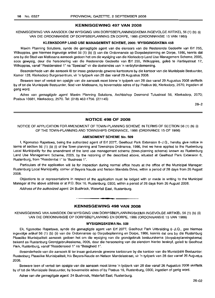#### KENNISGEWING 497 VAN 2008

KENNISGEWING VAN AANSOEK OM WYSIGING VAN DORPSBEPLANNINGSKEMA INGEVOLGE ARTIKEL 56 (1) (b) (i) VAN DIE ORDONNANSIE OP DORPSBEPLANNING EN DORPE, 1986 (ORDONNANSIE 15 VAN 1986)

#### KLERKSDORP LAND USE MANAGEMENT SCHEME, 2005: WYSIGINGSKEMA 458

Maxim Planning Solutions, synde die gemagtigde agent van die eienaars van die Resterende Gedeelte van Erf 255, Wilkoppies, gee hiermee ingevolge artikel 56 (1) (b) (i) van die Ordonnansie op Dorpsbeplanning en Dorpe, 1986, kennis dat ons by die Stad van Matlosana aansoek gedoen het om die wysiging van die Klerksdorp Land Use Management Scheme, 2005, soos gewysig, deur die hersonering van die Resterende Gedeelte van Erf 255, Wilkoppies, geleë te Hartleystraat 17, Wilkoppies, vanaf "Residensieel 1" na "Spesiaal" vir die doeleindes van 'n verblyfonderneming.

Besonderhede van die aansoek lê ter insae gedurende gewone kantoorure by die kantoor van die Munisipale Bestuurder, Kamer 128, Klerksdorp Burgersentrum, vir 'n tydperk van 28 dae vanaf 29 Augustus 2008.

Besware teen of vertoë ten opsigte van die aansoek moet binne 'n tydperk van 28 dae vanaf 29 Augustus 2008 skriftelik by of tot die Munisipale Bestuurder, Stad van Matlosana, by bovermelde adres of by Posbus 99, Klerksdorp, 2570, ingedien of gerig word.

Adres van gemagtigde agent: Maxim Planning Solutions, Archbishop Desmond Tutustraat 56, Klerksdorp, 2570; Posbus 10681, Klerksdorp, 2570. Tel: (018) 462-1756. (2/1145)

26-2

#### NOTICE 498 OF 2008

NOTICE OF APPLICATION FOR AMENDMENT OF TOWN-PLANNING SCHEME IN TERMS OF SECTION 56 (1) (b) (i) OF THE TOWN-PLANNING AND TOWNSHIPS ORDINANCE, 1986 (ORDINANCE 15 OF 1986)

#### AMENDMENT SCHEME No. 509

I, Kgomotso Rapetswa, being the authorized agent of Erf 2077, Geelhout Park Extension 6-J.Q., hereby give notice in terms of section 56 (1) (b) (i) of the Town-planning and Townships Ordinance, 1986, that we have applied to the Rustenburg Local Municipality for the amendment of the land use management scheme (town-planning scheme) known as Rustenburg Land Use Management Scheme, 2005, by the rezoning of the described above, situated at Geelhout Park Extension 6, Rustenburg, from "Residential 1" to "Business 1''.

Particulars of the application will lie for inspection during normal office hours at the office of the Municipal Manager: Rustenburg Local Municipality, corner of Beyers Naude and Nelson Mandela Drive, within a period of 28 days from 26 August 2008.

Objections to or representations in respect of the application must be lodged with or made in writing to the Municipal Manager at the above address or at P.O. Box 16, Rustenburg, 0300, within a period of 28 days from 26 August 2008.

Address of the authorized agent: 24 Bushrock, Waterfall East, Rustenburg.

### **•** KENNISGEWING 498 VAN 2008

KENNISGEWING VAN AANSOEK OM WYSIGING VAN DORPSBEPLANNINGSKEMA INGEVOLGE ARTIKEL 56 (1) (b) (ii) VAN DIE ORDONNANSIE OP DORPSBEPLANNING EN DORPE, 1986 (ORDONNANSIE 15 VAN 1986)

#### WYSIGINGSKEMA No. 509

Ek, Kgomotso Rapetswa, synde die gemagtigde agent van Erf 2077, Geelhout Park Uitbreiding 6-J.Q., gee hiermee ingevolge artikel 56 (1) (b) (ii) van die Ordonnansie op Dorpsbeplanning en Dorpe, 1986, kennis dat ons by die Rustenburg Plaaslike Munisipaliteit aansoek gedoen het om die wysiging van die grondgebruik bestuurskema (dorpsbeplanningskema) bekend as Rustenburg Grondgebruiksskema, 2005, deur die hersonering van die eiendom hierbo beskryf, geleë te Geelhout Park, Rustenburg, vanaf "Residensieel 1" na "Besigheid 1".

Besonderhede van die aansoek lê ter insae gedurende gewone kantoorure by die kantoor van die Munisipale Bestuurder: Rustenburg Plaaslike Munisipaliteit, h/v Beyers-Naude en Nelson Mandelastraat, vir 'n tydperk van 28 dae vanaf 26 Augustus 2008.

Besware teen of vertoe ten opsigte van die aansoek moet binne 'n tydperk van 28 dae vanaf 26 Augustus 2008 skriftelik by of tot die Munisipale Bestuurder, by bovermelde adres of by Posbus 16, Rustenburg, 0300, ingedien of gerig word.

Adres van die gemagtigde agent: 24 Bushrock, Waterfall East, Rustenburg.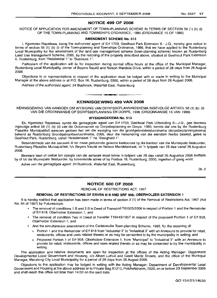#### NOTICE 499 OF 2008

NOTICE OF APPLICATION FOR AMENDMENT OF TOWN-PLANNING SCHEME IN TERMS OF SECTION 56 (1) (b) (i) OF THE TOWN-PLANNING AND TOWNSHIPS ORDINANCE, 1986 (ORDINANCE 15 OF 1986)

#### AMENDMENT SCHEME No. 513

I, Kgomotso Rapetswa, being the authorized agent of Erf 1703, Geelhout Park Extension 6-J.Q., hereby give notice in terms of section 56 (1) (b) (i) of the Town-planning and Townships Ordinance, 1986, that we have applied to the Rustenburg Local Municipality for the amendment of the land use management scheme (town-planning scheme) known as Rustenburg Land Use Management Scheme, 2005, by the rezoning of the property described above, situated at Geelhout Park Extension 6, Rustenburg, from "Residential 1" to "Business 1".

Particulars of the application will lie for inspection during normal office hours at the office of the Municipal Manager, Rustenburg Local Municipality, corner of Beyers Naude and Nelson Mandela Drive, within a period of 28 days from 26 August 2008.

Objections to or representations in respect of the application must be lodged with or made in writing to the Municipal Manager at the above address or at P.O. Box 16, Rustenburg, 0300, within a period of 28 days from 26 August 2008.

Address of the authorized agent: 24 Bushrock, Waterfall East, Rustenburg.

### **•** KENNISGEWING 499 VAN 2008

KENNISGEWING VAN AANSOEK OM WYSIGING VAN DORPSBEPLANNINGSKEMA INGEVOLGE ARTIKEL 56 (1) (b) (ii) VAN DIE ORDONNANSIE OP DORPSBEPLANNING EN DORPE, 1986 (ORDONNANSIE 15 VAN 1986)

#### WYSIGINGSKEMA No. 513

Ek, Kgomotso Rapetswa, synde die gemagtigde agent van Erf 1703, Geelhout Park Uitbreiding 6-J.Q., gee hiermee ingevolge artikel 56 (1) (b) (ii) van die Ordonnansie op Dorpsbeplanning en Dorpe, 1986, kennis dat ons by die Rustenburg Plaaslike Munisipaliteit aansoek gedoen het om die wysiging van die grondgebruikbestuurskema (dorpsbeplanningskema) bekend as Rustenburg Grondgebruikbestuurskema, 2005, deur die hersonering van die eiendom hierbo beskryf, geleë te Geelhout Park, Rustenburg, vanaf "Residensieel 1" na "Besigheid 1".

Besonderhede van die aansoek lê ter insae gedurende gewone kantoorure by die kantoor van die Munisipale Bestuurder, Rustenburg Plaaslike Munisipaliteit, h/v Beyers Naudé en Nelson Mandelastraat, vir 'n tydperk van 28 dae vanaf 26 Augustus 2008.

Besware teen of vertoe ten opsigte van die aansoek moet binne 'n tydperk van 28 dae vanaf 26 Augustus 2008 skriftelik by of tot die Munisipale Bestuurder, by bovermelde adres of by Posbus 16, Rustenburg, 0300, ingedien of gerig word.

Adres van die gemagtigde agent: 24 Bushrock, Waterfall East, Rustenburg.

26-2

#### NOTICE 500 OF 2008

REMOVAL OF RESTRICTIONS ACT, 1967

#### REMOVAL OF RESTRICTIONS OF ERVEN 618 AND ERF 958, OBERHOLZER EXTENSION 1

It is hereby notified that application has been made in terms of section 3 (1) of the Removal of Restrictions Act, 1967 (Act No. 84 of 1967) by Futurescope:

- The removal of conditions 1.B and 2.B in Deed of Transport T01325/2006 in respect of Portion 1 and the Remainder of Erf 618, Oberholzer Extension 1; and
- The removal of condition Two in Deed of Transfer T19443/1957 in respect of the proposed Portion 1 of Erf 958, Oberholzer Extension 1; and
- And the simultaneous amendment of the Carletonville Town-planning Scheme, 1993, for the rezoning of:
	- o Portion 1 and the Remainder of Erf 618 from "Industrial 3" to "Industrial 3" with an Annexure to provide for retail, restaurants, offices and uses related thereto or as may be consented to by the municipality in writing; and
	- o Proposed Portion 1 of Erf 958, Oberholzer Extension 1, from "Municipal" to "Industrial 3" with an Annexure to provide for retail, restaurants, offices and uses related thereto or as may be consented to by the municipality in writing.

The application and relative documents are open for inspection at the offices of the Acting Manager: Department Developmental Local Government and Housing, c/o Albert Luthuli and Gerrit Maritz Streets, and the office of the Municipal Manager, Merafong City Local Municipality for a period of 28 days from 26 August 2008.

Objections to the application may be lodged in writing with the Acting Manager: Department of Developmental Local Government and Housing at the above address or to Private Bag X1213, Potchefstroom, 2520, on or before 23 September 2008 and shall reach this office not later than 14:00 on the said date.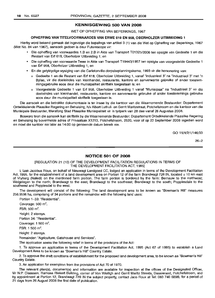#### **KENNISGEWING 500 VAN 2008**

WET OP OPHEFFING VAN BEPERKINGS, 1967

#### **OPHEFFING VAN TITELVOORWAARDES VAN ERWE 618 EN** 958, **OBERHOLZER UITBREIDING 1**

Hierby word bekend gemaak dat ingevolge die bepalings van artikel 3 (1) van die Wet op Opheffing van Beperkings, 1967 (Wet No. 84 van 1967), aansoek gedoen is deur Futurescope vir:

- Die opheffing van voorwaardes 1.B en 2.B in Akte van Transport T01325/2006 ten opsigte van Gedeelte 1 en die Restant van Erf 618, Oberholzer Uitbreiding 1; en
- Die opheffing van voorwaarde Twee in Akte van Transport T19443/1957 ten opsigte van voorgestelde Gedeelte 1 van Erf 958, Oberholzer Uitbreiding 1; en
- En die gelyktydige wysiging van die Carletonville-dorpsbeplanningskema, 1993 vir die hersonering van:
	- o Gedeelte 1 en die Restant van Erf 618, Oberholzer Uitbreiding 1, vanaf "Industrieel 3" na "Industrieel 3" met 'n Bylae, vir die doeleindes van kleinhandel, restaurante, kantore en aanverwante gebruike of ander toestemmingsgebruike soos deur die munisipaliteit skriftelik toegestaan is; en
	- o Voorgestelde Gedeelte 1 van Erf 958, Oberholzer Uitbreiding 1 vanaf "Munisipaal" na "Industrieel 3" vir die doeleindes van kleinhandel, restaurante, kantore en aanverwante gebruike of ander toestemmings gebruike soos deur die munisipaliteit skriftelik toegestaan is.

Die aansoek en die betrokke dokumentasie is ter insae by die kantoor van die Waarnemende Bestuurder: Departement Ontwikkelende Plaaslike Regering en Behuising, h/v Albert Luthuli- en Gerrit Maritzstraat, Potchefstroom en die kantoor van die Munisipale Bestuurder, Merafong Stad Plaaslike Munisipaliteit vir 'n tydperk van 28 dae vanaf 26 Allgustus 2008.

Besware teen die aansoek kan skriftelik by die Waarnemende Bestuurder: Departement Ontwikkelende Plaaslike Regering en Behuising by bovermelde adres of Privaatsak X1213, Potchefstroom, 2520, voor of op 23 September 2008 ingedien word en moet die kantoor nie later as 14:00 op genoemde datum bereik nie.

GO 15/4/2/1/146/33

26-2

#### **NOTICE 501 OF 2008**

#### [REGULATION 21 (10) OF THE DEVELOPMENT FACILITATION REGULATIONS IN TERMS OF THE DEVELOPMENT FACILITATION ACT, 1995]

I, Izak Jacobus Roux, on behalf of Nieuwagt Landgoed CC, lodged an application in terms of the Development Facilitation Act, 1995, for the establishment of a land development area on Portion 12 of the farm Brandwagt 728 IN, located  $\pm$  10 km east of Vryburg (Naledi) on the mentioned farm portion. The farm portion is bordered by the farm: Bernauw to the northwest; Welgelegen to the north; Brandwagt to the east; Brandwagt to the southeast; Brandwagt to the south; Poppiesdale to the southwest and Poppiesdal to the west.

The development will consist of the following: The land development area to be known as "Bowman's Hill" measures 256.9596 ha, comprising of 34 portions and the remainder with the following land uses:

Portion 1-33: "Residential".

Coverage:  $500 \text{ m}^2$ .

 $FSR: 500 m<sup>2</sup>$ 

Height: 2 storeys.

Portion 34: "Residential".

Coverage:  $1500 \text{ m}^2$ .

 $FSR: 1500 m<sup>2</sup>$ .

Height: 2 storeys.

Remainder: "Agriculture, Gatehouse and Services".

The application seeks the following relief in terms of the provisions of the Act:

1. To approve an application in terms of the Development Facilitation Act, 1995 (Act 67 of 1995) to establish a Land Development Area to be known as "Bowman's Hill" Country Estate.

2. To approve the draft conditions of establishment for the proposed land development area, to be known as "Bowman's Hill" Country Estate.

3. An application for exemption from the provisions of Act 70 of 1970.

The relevant plan(s), document(s) and information are available for inspection at the offices of the Designated Officer, Mr N.P. Claassen, Ramosa Riekert Building, corner of Von Wielligh and Gerrit Maritz Streets, Dassierand, Potchefstroom, and by appointment at Portion 12, Brandwagt 728 IN the subject property, contact Jaco Roux at Tel: 083740 6898, for a period of 21 days from 26 August 2008 the first date of publication.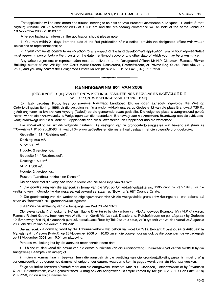The application will be considered at a tribunal hearing to be held at 'Villa Brocant Guesthouse &Antiques", 1 Market Street, Vryburg (Naledi), on 25 November 2008 at 10:00 am and the pre-hearing conference will be held at the same venue on 18 November 2008 at 10:00 am.

A person having an interest in the application should please note:

1. You may within 21 days from the date of the first publication of this notice, provide the designated officer with written objections or representations; or

2. if your comments constitute an objection to any aspect of the land development application, you or your representative must appear in person before the tribunal on the date mentioned above or any other date of which you may be given notice.

Any written objections or representation must be delivered to the Designated Officer: Mr N.P. Claassen, Ramosa Riekert Building, corner of Von Wielligh and Gerrit Martiz Streets, Dassierand, Potchefstroom, or Private Bag X1213, Potchefstroom, 2520, and you may contact the Designated Officer on Tel: (018) 297-5011 or Fax: (018) 297-7956. .**- .**

#### **KENNISGEWING 501 VAN 2008**

[REGULASIE 21 (10) VAN DIE ONTWIKKELINGS FASILITERINGS REGULASIES INGEVOLGE DIE WET OP ONTWIKKELlNGSFASILITERING, 1995]

Ek, Izak Jacobus Roux, tree op namens Nieuwagt Landgoed BK en doen aansoek ingevolge die Wet op Ontwikkelingsfasilitering, 1995, vir die vestiging van 'n grondontwikkelingsarea op Gedeete 12 van die plaas Brandwagt 728 IN, geleë ongeveer 10 km oos van Vryburg (Naledi) op die genoemde plaas gedeelte. Die volgende plase is aangrensend geleë: Bernauw aan die noordwestekant; Welgelegen aan die noordekant; Brandwagt aan die oostekant; Brandwagt aan die suidoostekant; Brandwagt aan die suidekant; Poppiesdale aan die suidwestekant en Poppiesdal aan die westekant.

Die ontwikkeling sal uit die volgende bestaan: Die vestiging van 'n grondontwikkelingsarea wat bekend sal staan as "Bowman's Hill" op 256,9596 ha, wat uit 34 plaas gedeeltes en die restant sal bestaan met die volgende grondgebruike:

Gedeelte 1-33: "Residensieel".

Dekking:  $500 \text{ m}^2$ .

 $V$ RV: 500 m<sup>2</sup>.

Hoogte: 2 verdiepings.

Gedeelte 34: "Residensieel".

Dekking: 1 500 m $^{\rm 2}$ .

 $V$ RV: 1 500 m<sup>2</sup>.

Hoogte: 2 verdiepings.

Restant: "Landbou, hekhuis en Dienste".

Die aansoek stel die volgende voor in terme van die bepalings van die Wet:

1. Die goedkeuring van die aansoek in terme van die Wet op Ontwikkelingsfasilitering, 1995 (Wet 67 van 1995), vir die vestiging van 'n Grondontwikkelingsarea wat bekend sal staan as "Bowman's Hill" Country Estate.

2. Die goedkeuring van die werkende stigtingsvoorwaardes vir die voorgestelde grondontwikkelingsarea, wat bekend sal staan as "Bowman's Hill" grondontwikkelingsarea.

3. Aansoek vir uitsluiting van die bepalings van Wet 70 van 1970.

Die relevante plan(ne), dokument(e) en inligting lê ter insae by die kantore van die Aangewese Beampte: Mnr N.P. Claassen, Ramosa Riekert Gebou, hoek van Von Wielligh- en Gerrit Martizstraat, Dassierand, Potchefstroom en per afspraak by Gedeelte 12, Brandwagt 728 IN, die aansoek perseel, kontak Jaco Roux by Tel: 0837406898, vir 'n tydperk van 21 dae vanaf 26 Augustus 2008 die datum van die eerste publikasie.

Die aansoek sal oorweeg word by die Tribunaalverhoor wat gehou sal word by "Villa Brocant Guesthouse & Antiques" te Marketstraat 1, Vryburg (Naledi), op 25 November 2008 om 10:00 vm en die voorverhoor sal ook by die bogenoemde vergaderplek op 18 November 2008 om 10:00 vm plaasvind.

Persone wat belang het by die aansoek moet kennis neem dat:

1. U binne 21 dae vanaf die datum van die eerste publikasie van die kennisgewing u beswaar en/of vertoe skriftelik by die Aangewese Beampte kan indien; of

2. indien u kommentaar 'n beswaar teen die aansoek vir die vestiging van die grondontwikkelingsarea is, moet u of u verteenwoordiger op genoemde datums, of enige ander datums waarvan u kennis gegee word, voor die tribunaal verskyn.

Enige skriftelike besware of vertoë moet aan die Aangewese Beampte: Mnr. N.P. Claassen, Potchefstroom of by Privaatsak X1213, Potchefstroom, 2520, gelewer word. U mag ook die Aangewese Beampte kontak by Tel: (018) 297-5011 en Faks: (018) 297-7956, indien u enige navrae het.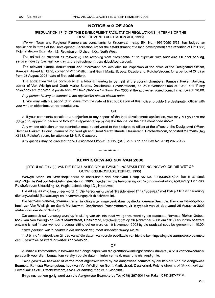#### **NOTICE 502 OF 2008**

#### [REGULATION 17 (9) OF THE DEVELOPMENT FACILITATION REGULATIONS IN TERMS OF THE DEVELOPMENT FACILITATION ACT, 1995]

Welwyn Town and Regional Planners as consultants for Kroonvaal t-stop BK, No. 1995/005015/23, has lodged an application in terms of the Development Facilitation Act for the establishment of a land development area rezoning of Erf 1788, Potchefstroom Extension 12, Registration Division I.Q., North West.

The erf will be rezoned as follows: (i) The rezoning from "Residential 1" to "Special" with Annexure 1107 for parking, service industry (carwash centre) and a refreshment room (kiosk/tea garden).

The relevant plan(s), document(s) and information are available for inspection at the office of the Designated Officer, Ramosa Riekert Building, corner of Von Wielligh and Gerrit Maritz Streets, Dassierand, Potchefstroom, for a period of 21 days from 25 August 2008 (date of first publication).

The application will be considered at a tribunal hearing to be held at the council chambers, Ramosa Riekert Building, corner of Von Wielligh and Gerrit Maritz Streets, Dassierand, Potchefstroom, on 26 November 2008 at 10:00 and if any objections are received, a pre-hearing will take place on 19 November 2008 at the abovementioned council chambers at 10:00.

Any person having an interest in the application should please note:

1. You may within a period of 21 days from the date of first publication of this notice, provide the designated officer with your written objections or representations.

OR

2. if your comments constitute an objection to any aspect of the land development application, you may but you are not obliged to, appear in person or through a representative before the tribunal on the date mentioned above.

Any written objection or representation must be delivered to the designated officer at the offices of the Designated Officer, Ramosa Riekert Building, corner of Von Wielligh and Gerrit Maritz Streets, Dassierand, Potchefstroom, or posted to Private Bag X1213, Potchefstroom, for attention Mr N.P. Claassen.

Any queries may be directed to the Designated Officer: Tel No. (018) 297-5011 and Fax No. (018) 297-7956.

#### **KENNISGEWING 502 VAN 2008**

I **• •**

[REGULASIE 17 (9) VAN DIE REGULASIES OP ONTWIKKELlNGSFASILITERING INGEVOLGE DIE WET OP ONTWIKKELlNGSFASILITERING, 1995]

Welwyn Stads- en Streekbeplanners as konsultante van Kroonvaal 1-stop BK No. 1995/005015/23, het 'n aansoek ingevolge die Wet op Ontwikkelingsfasilitering, 1995, ingedien vir die hersonering van 'n grondontwikkelingsgebied op Erf 1788, Potchefstroom Uitbreiding 12, Registrasieafdeling I.Q., Noordwes.

Die erf sal as volg hersoneer word: (i) Die hersonering vanaf "Residensieel 1" na "Spesiaal" met Bylae 1107 vir parkering, diensnywerheid (karwassery) en 'n verversingsplek (kiosk/teetuin).

Die betrokke plan(ne), dokument(e) en inligting is ter insae beskikbaar by die Aangewese Beampte, Ramosa Riekertgebou, hoek van Von Wielligh- en Gerrit Maritzstraat, Dassierand, Potchefstroom, vir 'n tydperk van 21 dae vanaf 25 Augustus 2008 (datum van eerste publikasie).

Die aansoek sal oorweeg word op 'n sitting van die tribunaal wat gehou word by die raadsaal, Ramosa Riekert Gebou, hoek van Von Wielligh en Gerrit Maritzstraat, Dassierand, Potchefstroom op 26 November 2008 om 10:00 en indien besware ontvang is, sal 'n voor-verhoor tribunaal sitting gehou word op 19 November 2008 by die raadsaal soos bo genoem om 10:00.

Enige persoon wat 'n belang in die aansoek het, moet asseblief daarop let dat:

1. U binne 'n tydperk van 21 dae vanaf die datum van eerste publikasie van hierdie kennisgewing die aangewese beampte van u geskrewe besware of vertoë kan voorsien.

OF

2. indien u kommentare 'n beswaar teen enige aspek van die grondontwikkelingsaansoek daarstel, u of u verteenwoordiger persoonlik voor die tribunaal kan verskyn op die datum hierbo vermeld, maar u is nie verplig nie.

Enige geskrewe beswaar of vertoe moet afgelewer word by die aangewese beampte by die kantore van die Aangewese Beampte, Ramosa Riekertgebou, hoek van Von Wielligh en Gerrit Maritzstraat, Dassierand, Potchefstroom, of gepos word aan Privaatsak X1213, Potchefstroom, 2520, vir aandag mnr. N.P. Claassen.

Enige navrae kan gerig word aan die Aangewese Beampte by Tel: (018) 297-5011 en Faks: (018) 297-7956.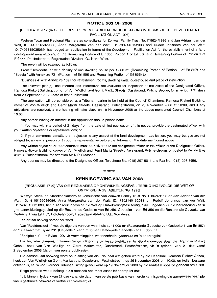#### **NOTICE 503 OF 2008**

#### [REGULATION 17 (9) OF THE DEVELOPMENT FACILITATION REGULATIONS IN TERMS OF THE DEVELOPMENT FACILITATION ACT 1995]

Welwyn Town and Regional Planners as consultants for Zonwalt Family Trust No. IT8624/1996 and Jan Adriaan van der Walt, 10: 4105165029086, Anna Margaretha van der Walt, 10: 7902140152083 and Rudolf Johannes van der Walt, 10: 7407315035089, has lodged an application in terms of the Development Facilitation Act for the establishment of a land development area rezoning of the Remaining Portion of Erf 856, Portion 1 of Erf 856 and Remaining Portion of Portion 1 of Erf 857, Potchefstroom, Registration Division I.Q., North West.

The erven will be rezoned as follows:

From "Residential 1" with density of one dwelling house per 1 000 m<sup>2</sup> (Remaining Portion of Portion 1 of Erf 857) and "Special" with Annexure 731 (Portion 1 of Erf 856 and Remaining Portion of Erf 856) to:

"Business 4" with Annexure 1097 for refreshment rooms, dwelling units, guesthouse and place of instruction.

The relevant plan(s), document(s) and information are available for inspection at the office of the Designated Officer, Ramosa Riekert Building, corner of Von Wielligh and Gerrit Maritz Streets, Dassierand, Potchefstroom, for a period of 21 days from 2 September 2008 (date of first publication).

The application will be considered at a Tribunal hearing to be held at the Council Chambers, Ramosa Riekert Building, corner of Von Wielligh and Gerrit Maritz Streets, Dassierand, Potchefstroom, on 26 November 2008 at 10:00, and if any objections are received, a pre-hearing will take place on 19 November 2008 at the above-mentioned Council Chambers at 10:00.

Any person having an interest in the application should please note:

1. You may within a period of 21 days from the date of first publication of this notice, provide the designated officer with your written objections or representations; or

2. If your comments constitute an objection to any aspect of the land development application, you may but you are not obliged to, appear in person or through a representative before the Tribunal on the date mentioned above.

Any written objection or representation must be delivered to the designated officer at the offices of the Designated Officer, Ramosa Riekert Building, corner of Von Wielligh and Gerrit Maritz Streets, Dassierand, Potchefstroom, or posted to Private Bag X1213, Potchefstroom, for attention Mr N.P. Claassen.

Any queries may be directed to the Designated Officer: Telephone No. (018) 297-5011 and Fax No. (018) 297-7956.

#### **KENNISGEWING 503 VAN 2008**

**• •**

[REGULASIE 17 (9) VAN DIE REGULASIES OP ONTWIKKELlNGSFASILITERING INGEVOLGE DIE WET OP ONTWIKKELlNGSFASILITERING, 1995]

Welwyn Stads- en Streekbeplanners as konsultante van Zonwalt Family Trust No. IT8624/1996 en Jan Adriaan van der Walt, 10: 4105165029086, Anna Margaretha van der Walt, 10: 7902140152083 en Rudolf Johannes van der Walt, 10: 7407315035089, het 'n aansoek ingevolge die Wet op Ontwikkelingsfasillitering, 1995, ingedien vir die hersonering van 'n grondontwikkelingsgebied op die Resterende Gedeelte van Erf 856, Gedeelte 1 van Erf 856 en die Resterende Gedeelte *van* Gedeelte 1 *van* Erf 857, Potchefstroom, Registrasie Afdeling I.Q., Noordwes.

Die erf sal as volg hersoneer word:

Van "Residensieel 1" met die digtheid *van* een woonhuis per 1 000 m<sup>2</sup> (Resterende Gedeelte van Gedeelte 1 van Erf 857) en "Spesiaal" met Bylae 731 (Gedeelte 1 *van* Erf 856 en Resterende Gedeelte van Erf 856) na

"Besigheid 4" met Bylae 1097 *vir* verversingplek, wooneenhede, gastehuis en 'n onderrigplek.

Die betrokke plan(ne), dokument(e) en inligting is ter insae beskikbaar by die Aangewese Beampte, Ramosa Riekert Gebou, hoek *van* Von Wielligh en Gerrit Maritzstrate, Dassierand, Potchefstroom, *vir* 'n tydperk van 21 dae vanaf 2 September 2008 (datum *van* eerste publikasie).

Die aansoek sal oorweeg word op 'n sitting *van* die Tribunaal wat gehou word by die Raadsaal, Ramosa Riekert Gebou, hoek van Von Wielligh en Gerrit Maritzstrate, Dassierand, Potchefstroom, op 26 November 2008 om 10:00, en indien besware ontvang is, sal 'n voor-verhoor Tribunaal sitting gehou word op 19 November 2008 by die raadsaal soos bo genoem om 10:00.

Enige persoon wat 'n belang in die aansoek het, moet asseblief daarop let dat:

1. U binne 'n tydperk van 21 dae vanaf die datum van eerste publikasie *van* hierdie kennisgewing die aangewese beampte van u geskrewe besware of vertoë kan voorsien; of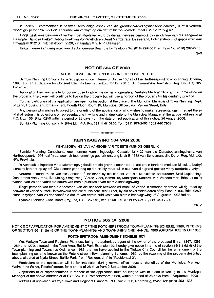2. Indien u kommentaar 'n beswaar teen enige aspek van die grondontwikkelingsaansoek daarstel, u of u verteenwoordiger persoonlik voor die Tribunaal kan verskyn op die datum hierbo vermeld, maar u is nie verplig nie.

Enige geskrewe beswaar of vertoe moet afgelewer word by die aangewese beampte by die kantore van die Aangewese Beampte, Ramosa Riekert Gebou, hoek van Von Wielligh en Gerrit Maritzstrate, Dassierand, Potchefstroom, of gepos word aan Privaatsak X1213, Potchefstroom, 2520, vir aandag Mm. N.P. Claassen.

Enige navrae kan gerig word aan die Aangewese Beampte by Telefoon No. (018) 297-5011 en Faks No. (018) 297-7956.

2-9

#### **NOTICE 504 OF 2008**

#### NOTICE CONCERNING APPLICATION FOR CONSENT USE

Symbio Planning Consultants hereby gives notice in terms of Clause 13/ 22 of the Hartbeespoort Town-planning Scheme, 1993, that an application for Consent Use has been submitted for Erf 238 of Schoemansville Township, Reg. Div. J.Q; NW. Province.

Application has been made for consent use to allow the owner to operate a Dentistry Medical Clinic at the home office on the property. The owner will continue to live on the property but will use a portion of the property for his dentistry practice.

Further particulars of the application are open for inspection at the office of the Municipal Manager of Town Planning, Dept. of Land, Housing and Environment, Fourth Floor, Room 15, Municipal Offices, Von Velden Street, Brits.

Any person who wishes to object to the granting of the application or who wishes to make representations in regard thereof shall submit his objections or representations in writing and in duplicate to the Municipal Manager at the above address or at P.O. Box 106, Brits, 0250 within a period of 28 days from the date of first publication of this notice, 26 August 2008.

Symbio Planning Consultants (Pty) Ltd, P.O. Box 291, Ifafi, 0260. Tel. (021) 253-2463 / 082 440 7959 .

#### **KENNISGEWING 504 VAN 2008**

**• n**

#### KENNISGEWING VAN AANSOEK VIR TOESTEMMINGS GEBRUIK

Symbio Planning Consultants gee hiermee kennis ingevolge Klousule 13 / 22 van die Dorpsbeplanningskema van Hartbeespoort, 1993, dat 'n aansoek vir toestemmings gebruik ontvang is vir Erf 238 van Schoemansville Dorp, Reg. Afd. J.Q. NW. Provinsie.

'n Aansoek is ingedien vir toestemmings gebruik om die grond eienaar toe te laat om 'n tandarts mediese kliniek te bedryf binne sy kantoor op sy erf. Die eienaar gaan nog op die erf bly maar wil 'n stuk van die grond gebruik vir sy tandarts praktyk.

Verdere besonderhede van die aansoek lê ter insae by die kantoor van die Munisipale Bestuurder: Stadsbeplanning, Department van Grond, Behuising, Omgewing, Vierde Vloer, Kamer 15, Munispale Kantore, Van Veldenstraat, Brits, binne 'n tydperk van 28 dae vanaf die datum van eerste publikasie van hierdie kennisgewing.

Enige persoon wat teen die toestaan van die aansoek beswaar wil maak of vertoë in verband daarmee wil rig, moet sy besware of vertoe skriftelik in tweevoud aan die Munisipale Bestuurder, by die bovermelde adres of by Posbus 106, Brits, 0250, binne 'n tydperk van 28 dae vanaf die datum van eerste publikasie van hierdie kennisgewing 26 Augustus 2008 indien.

Symbio Planning Consultants (Pty) Ltd, P.O. Box 291, Ifafi, 0260. Tel. (012) 253-2463 / 082 440 7959.

26-2

#### **NOTICE 505 OF 2008**

NOTICE OF APPLICATION FOR AMENDMENT OF THE POTCHEFSTROOM TOWN-PLANNING SCHEME, 1980, IN TERMS OF SECTION 56 (1) (b) (i) OF THE TOWN-PLANNING AND TOWNSHIPS ORDINANCE, 1986 (ORDINANCE 15 OF 1986)

#### **POTCHEFSTROOM AMENDMENT SCHEME 1571**

We, Welwyn Town and Regional Planners, being the authorised agent of the owner of the proposed Erven 1267, 1268, 1269 and 1270, situated in the Town Area, Baillie Park Extension 29, hereby give notice in terms of section 56 (1) (b) (i) of the Town-planning and Townships Ordinance, 1986, that we have applied to the Tlokwe City Council for the amendment of the town-planning scheme known as the Potchefstroom Town-planning Scheme, 1980, by the rezoning of the property described above, situated at Njala Street, Baillie Park, from "Residential 1" to "Residential 3".

Particulars of the application will lie for inspection during normal office hours at the office of the Municipal Manager, Wolmarans Street, Potchefstroom, for a period of 28 days from 2 September 2008.

Objections to or representations in respect of the application must be lodged with or made in writing to the Municipal Manager at the above address or at P.O. Box 113, Potchefstroom, 2520, within a period of 28 days from 2 September 2008.

Address of applicant: Welwyn Town and Regional Planners, P.O. Box 20508, Noordbrug, 2522. Tel: (018) 293-1536.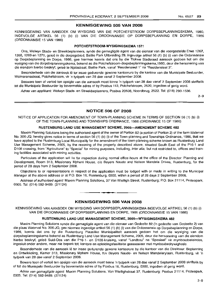#### KENNISGEWING 505 VAN 2008

KENNISGEWING VAN AANSOEK OM WYSIGING VAN DIE POTCHEFSTROOM DORPSBEPLANNINGSKEMA, 1980, INGEVOLGE ARTIKEL 56 (1) (b) (i) VAN DIE ORDONNANSIE OP DORPSBEPLANNING EN DORPE, 1986 (ORDONNANSIE 15 VAN 1986)

#### POTCHEFSTROOM·WYSIGINGSKEMA 1571

Ons, Welwyn Stads- en Streekbeplanners, synde die gemagtigde agent van die eienaar van die voorgestelde Erwe 1267, 1268, 1269 en 1270, qelee in die dorpsgebied, Baillie Park Uitbreiding 29, ingevolge artikel 56 (1) (b) (i) van die Ordonnansie op Dorpsbeplanning en Dorpe, 1986, gee hiermee kennis dat ons by die Tlokwe Stadsraad aansoek gedoen het om die wysiging van die dorpsbeplanningskema, bekend as die Potchefstroom-dorpsbeplanningskema, 1980, deur die hersonering van die eiendom hierbo beskryf, geleë te Njalastraat, Baillie Park, vanaf "Residensieel 1" na "Residensieel 3".

Besonderhede van die aansoek lê ter insae gedurende gewone kantoorure by die kantoor van die Munisipale Bestuurder, Wolmaransstraat, Potchefstroom, vir 'n tydperk van 28 dae vanaf 2 September 2008.

Besware teen of vertoe ten opsigte van die aansoek moet binne 'n tydperk van 28 dae vanaf 2 September 2008 skriftelik tot die Munisipale Bestuurder by bovermelde adres of by Posbus 113, Potchefstroom, 2520, ingedien of gerig word.

Adres van applikant: Welwyn Stads- en Streekbeplanners, Posbus 20508, Noordbrug, 2522. Tel: (018) 293-1536.

2-9

#### NOTICE 506 OF 2008

NOTICE OF APPLICATION FOR AMENDMENT OF TOWN-PLANNING SCHEME IN TERMS OF SECTION 56 (1) (b) (i) OF THE TOWN-PLANNING AND TOWNSHIPS ORDINANCE, 1986 (ORDINANCE 15 OF 1986)

#### RUSTENBURG LAND USE MANAGEMENT SCHEME, 2005-AMENDMENT SCHEME 482

Maxim Planning Solutions being the authorised agent of the owner of Portion 82 (a portion of Portion 2) of the farm Waterval No. 306-JQ, hereby gives notice in terms of section 56 (1) (b) (i) of the Town-planning and Townships Ordinance, 1986, that we have applied to the Rustenburg Local Municipality for the amendment of the town-planning scheme known as Rustenburg Land Use Management Scheme, 2005, by the rezoning of the property described above, situated South East of the P16-1 and D108 crossing, from "Agricultural" to "Special" for mining purposes, including, *inter alia*, but not restricted to, offices and training facilities associated with mining activities.

Particulars of the application will lie for inspection during normal office hours at the office of the Director: Planning and Development, Room 313, Missionary Mpheni House, c/o Beyers Naude and Nelson Mandela Drives, Rustenburg, for the period of 28 days from 2 September 2008.

Objections to or representations in respect of the application must be lodged with or made in writing to the Municipal Manager at the above address or at PO. Box 16, Rustenburg, 0300, within a period of 28 days 2 September 2008.

Address of authorised agent: Maxim Planning Solutions, 37 Von Wielligh Street, Rustenburg; P.O. Box 21114, Proteapark, 0305. Tel: (014) 592-9489. (2/1124)

#### KENNISGEWING 506 VAN 2008

**I •**

KENNISGEWING VAN AANSOEK OM WYSIGING VAN DORPSBEPLANNINGSKEMA INGEVOLGE ARTIKEL 56 (1) (b) (i) VAN DIE ORDONNANSIE OP DORPSBEPLANNING EN DORPE, 1986 (ORDONNANSIE 15 VAN 1986)

#### RUSTENBURG LAND USE MANAGEMENT SCHEME, 2005-WYSIGINGSKEMA 482

Maxim Planning Solutions synde die gemagtigde agent van die eienaar van Gedeelte 82 ('n gedeelte van Gedeelte 2) van die plaas Waterval No. 306-JQ, gee hiermee ingevolge artikel 56 (1) (b) (i) van die Ordonnansie op Dorpsbeplanning en Darpe, 1986, kennis dat ons by die Rustenburg Plaaslike Munisipaliteit aansoek gedoen het om die wysiging van die dorpsbeplanningskema bekend as Rustenburg Land Use Management Scheme, 2005, deur die hersonering van die eiendom hierbo beskryf, geleë Suid-Oos van die P16-1- en D108-kruising, vanaf "Landbou" na "Spesiaal" vir mynboudoeleindes, ingesluit onder andere, maar nie beperk tot, kantore en opleidingsfasiliteite geassosieer met mynboubedrywighede.

Besonderhede van die aansoek lê ter insae gedurende gewone kantoorure by die kantoor van die Direkteur: Beplanning en Ontwikkeling, Kamer 313, Missionary Mpheni House, h/v Beyers Naude- en Nelson Mandelarylaan, Rustenburg, vir 'n tydperk van 28 dae vanaf 2 September 2008.

Beware teen of vertoe ten opsigte van die aansoek moet binne 'n tydperk van 28 dae vanaf 2 September 2008 skriftelik by of tot die Munispale Bestuurder by bovermelde adres of by Posbus 16, Rustenburg, 0300, ingedien of gerig word.

Adres van gemagtigde agent: Maxim Planning Solutions, Von Wiellighstraat 37, Rustenburg; Posbus 21114, Proteapark, 0305. Tel: (014) 592-9489. (2/1124)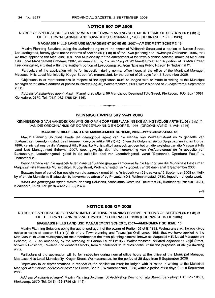#### NOTICE 507 OF 2008

#### NOTICE OF APPLICATION FOR AMENDMENT OF TOWN-PLANNING SCHEME IN TERMS OF SECTION 56 (1) (b) (i) OF THE TOWN-PLANNING AND TOWNSHIPS ORDINANCE, 1986 (ORDINANCE 15 OF 1986)

#### MAQUASSI HILLS LAND USE MANAGEMENT SCHEME, 2007-AMENDMENT SCHEME 13

Maxim Planning Solutions being the authorised agent of the owner of Wolfaardt Street and a portion of Buxton Street, Leeudoringstad, hereby gives notice in terms of section 56 (1) (b) (i) of the Town-planning and Townships Ordinance, 1986, that we have applied to the Maquassi Hills Local Municipality for the amendment of the town-planning scheme known as Maquassi Hills Local Management Scheme, 2007, as amended, by the rezoning of Wolfaardt Street and a portion of Buxton Street, Leeudoringstad, situated within the southern portion of Leeudoringstad, from "Existing Public Roads" to "Industrial 2".

Particulars of the application will lie for inspection during normal office hours at the office of the Municipal Manager, Maquassi Hills Local Municipality, Kruger Street, Wolmaransstad, for the period of 28 days from 5 September 2008.

Objections to or representations in respect of the application must be lodged with or made in writing to the Municipal Manager at the above address or posted to Private Bag X3, Wolmaransstad, 2630, within a period of 28 days from 5 September 2008.

Address of authorised agent: Maxim Planning Solutions, 56 Archbishop Desmond Tutu Street, Klerksdorp; P.O. Box 10681, Klerksdorp, 2570. Tel: (018) 462-1756 (2/1146).

**• •**

#### KENNISGEWING 507 VAN 2008

KENNISGEWING VAN AANSOEK OM WYSIGING VAN DORPSBEPLANNINGSKEMA INGEVOLGE ARTIKEL 56 (1) (b) (i) VAN DIE ORDONNANSIE OP DORPSBEPLANNING EN DORPE, 1986 (ORDONNANSIE 15 VAN 1986)

#### MAQUASSI HILLS LAND USE MANAGEMENT SCHEME, 2007-WYSIGINGSKEMA 13

Maxim Planning Solutions synde die gemagtigde agent van die eienaar van Wolfaardtstraat en 'n gedeelte van Buxtonstraat, Leeudoringstad, gee hiermee ingevolge artikel 56 (1) (b) (i) van die Ordonnansie op Dorpsbeplanning en Dorpe, 1986, kennis dat ons by die Maquassi Hills Plaaslike Munisipaliteit aansoek gedoen het om die wysiging van die Maquassi Hills Land Use Management Scheme, 2007, soos gewysig, deur die hersonering van Wolfaardtstraat en 'n gedeelte van Buxtonstraat, Leeudoringstad, geleë in die suidelike deel van Leeudoringstad, vanaf "Bestaande Openbare Paaie" na "Industrieel 2".

Besonderhede van die aansoek lê ter insae gedurende gewone kantoorure by die kantoor van die Munisipale Bestuurder, Maquassi Hills Plaaslike Munisipaliteit, Krugerstraat, Wolmaransstad, vir 'n tydperk van 28 dae vanaf 5 September 2008.

Besware teen of vertoë ten opsigte van die aansoek moet binne 'n tydperk van 28 dae vanaf 5 September 2008 skriftelik by of tot die Munisipale Bestuurder by bovermelde adres of by Privaatsak X3, Wolmaransstad, 2630, ingedien of gerig word.

Adres van gemagtigde agent: Maxim Planning Solutions, Archbishop Desmond Tutustraat 56, Klerksdorp; Posbus 10681, Klerksdorp, 2570. Tel: (018) 462-1756 (2/1146).

2-9

#### NOTICE 508 OF 2008

NOTICE OF APPLICATION FOR AMENDMENT OF TOWN-PLANNING SCHEME IN TERMS OF SECTION 56 (1) (b) (i) OF THE TOWN-PLANNING AND TOWNSHIPS ORDINANCE, 1986 (ORDINANCE 15 OF 1986)

#### MAQUASSI HILLS LAND USE MANAGEMENT SCHEME, 2007-AMENDMENT SCHEME 15

Maxim Planning Solutions being the authorised agent of the owner of Portion 29 of Erf 883, Wolmaransstad, hereby gives notice in terms of section 56 (1) (b) (i) of the Town-planning and Townships Ordinance, 1986, that we have applied to the Maquassi Hills Local Municipality for the amendment of the town-planning scheme known as Maquassi Hills Local Management Scheme, 2007, as amended, by the rezoning of Portion 29 of Erf 883, Wolmaransstad, situated adjacent to Leijd Street, between President, Pavillion and Joubert Streets, from "Residential 1" to "Residential 2" for the purposes of six (6) dwelling units.

Particulars of the application will lie for inspection during normal office hours at the office of the Municipal Manager, Maquassi Hills Local Municipality, Kruger Street, Wolmaransstad, for the period of 28 days from 5 September 2008.

Objections to or representations in respect of the application must be lodged with or made in writing to the Municipal Manager at the above address or posted to Private Bag X3, Wolmaransstad, 2630, within a period of 28 days from 5 September 2008.

Address of authorised agent: Maxim Planning Solutions, 56 Archbishop Desmond Tutu Street, Klerksdorp; P.O. Box 10681, Klerksdorp, 2570. Tel: (018) 462-1756 (2/1149).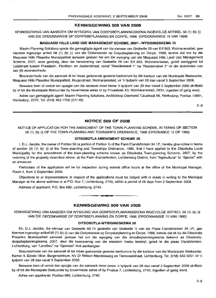#### **KENNISGEWING 508 VAN 2008**

KENNISGEWING VAN AANSOEK OM WYSIGING VAN DORPSBEPLANNINGSKEMA INGEVOLGE ARTIKEL 56 (1) (b) (i) VAN DIE ORDONNANSIE OP DORPSBEPLANNING EN DORPE, 1986 (ORDONNANSIE 15 VAN 1986)

#### **MAQUASSI HILLS LAND USE MANAGEMENT SCHEME, 2007-WYSIGINGSKEMA 15**

Maxim Planning Solutions synde die gemagtigde agent van die eienaar van Gedeelte 29 van Erf 883, Wolmaransstad, gee hiermee ingevolge artikel 56 (1) (b) (i) van die Ordonnansie op Dorpsbeplanning en Dorpe, 1986, kennis dat ons by die Maquassi Hills Plaaslike Munisipaliteit aansoek gedoen het om die wysiging van die Maquassi Hills Land Use Management Scheme, 2007, soos gewysig, deur die hersonering van Gedeelte 29 van Erf 883, Wolmaransstad, geleë aanliggend tot Leijdstraat tussen President-, Pavillion- en Joubertstraat, vanaf "Residensieel 1" na "Residensieel 2" vir die doeleindes van ses (6) wooneenhede.

Besonderhede van die aansoek lê ter insae gedurende gewone kantoorure by die kantoor van die Munisipale Bestuurder, Maquassi Hills Plaaslike Munisipaliteit, Krugerstraat, Wolmaransstad, vir 'n tydperk van 28 dae vanaf 5 September 2008.

Besware teen of vertoe ten opsigte van die aansoek moet binne 'n tydperk van 28 dae vanaf 5 September 2008 skriftelik by of tot die Munisipale Bestuurder by bovermelde adres of by Privaatsak X3. Wolmaransstad, 2630, ingedien of gerig word.

Adres van gemagtigde agent: Maxim Planning Solutions, Archbishop Desmond Tutustraat 56, Klerksdorp; Posbus 10681, Klerksdorp, 2570. Tel: (018) 462-1756 (2/1149).

2-9

#### **NOTICE 509 OF 2008**

NOTICE OF APPLICATION FOR THE AMENDMENT OF THE TOWN-PLANNING SCHEME, IN TERMS OF SECTION 56 (1) (b) (i) OF THE TOWN-PLANNING AND TOWNSHIPS ORDINANCE, 1986 (ORDINANCE 15 OF 1986)

#### **DITSOBOTLA AMENDMENT SCHEME 30**

I, D.J. Jacobs, the owner of Portion 56 (a portion of Portion 1) of the Farm Elandsfontein 34 I.P., hereby give notice in terms of section 56 (1) (b) (i) of the Town-planning and Townships Ordinance, 1986, that I have applied to the Ditsobotla Local Municipality for the amendment of the town-planning scheme known as Ditsobotla Town-planning Scheme, 2007, by the rezoning of the property described above, at the Farm Elandsfontein, Lichtenburg District, from "Agricultural" to "Special" with an annexure.

Particulars of the application will lie for inspection during normal office hours at the office of the Municipal Manager, Room 4, from 2 September 2008.

Objections to or representations in respect of the applications must be lodged with or made in writing to the Municipal Manager at the above address or at P.O. Box 7, Lichtenburg, 2740, within a period of 28 days from 2 September 2008.

Address of applicant: P.O. Box 689, Lichtenburg, 2740.

#### **KENNISGEWING 509 VAN 2008**

**•**

KENNISGEWING VAN AANSOEK OM WYSIGING VAN DORPSBEPLANNINGSKEMA INGEVOLGE ARTIKEL 56 (1) (b) (i) VAN DIE ORDONNANSIE OP DORPSBEPLANNING EN DORPE, 1986 (ORDONNANSIE 15 VAN 1986)

#### **DITSOBOTLA-WYSIGINGSKEMA 30**

Ek, D.J. Jacobs, die eienaar van Gedeelte 59 ('n gedeelte van Gedeelte 1) van die Plaas Elandsfontein 34 I.P., gee hiermee ingevolge artikel 56 (1) (b) (i) van die Ordonnansie op Dorpsbeplanning en Dorpe, 1986, kennis dat ek by die Ditsobotla Plaaslike Munisipaliteit aansoek gedoen het om die wysiging van die dorpsbeplanningskema bekend as Ditsobotladorpsbeplanningskema, 2007, deur die hersonering van die eiendom hierbo beskryf, gelee te die plaas Elandsfontein, Lichtenburg, van "Landbou" na "Spesiaal" met aanhangsel.

Besonderhede van die aansoek lê ter insae gedurende gewone kantoorure by die kantoor van die Munisipale Bestuurder, Kamer 4, Eerste Vloer, Burgersentrum, h/v Dr Nelson Mandelaweg en Transvaalstraat, Lichtenburg, Tel: (018) 632-5051 vir 'n tydperk van 28 dae vanaf 2 September 2008.

Besware teen of vertoe ten opsigte van die aansoek moet binne 'n tydperk van 28 dae vanaf 2 September 2008 skriftelik by of tot die Munisipale Bestuurder by bovermelde adres of by Posbus 7, Lichtenburg, 2740, ingedien of gerig word.

Adres van applikante: Posbus 689, Lichtenburg, 2740.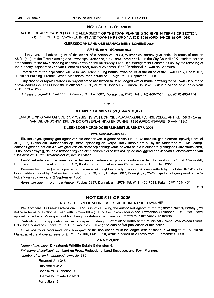#### NOTICE 510 OF 2008

NOTICE OF APPLICATION FOR THE AMENDMENT OF THE TOWN-PLANNING SCHEME IN TERMS OF SECTION 56 (1) (b) (i) OF THE TOWN-PLANNING AND TOWNSHIPS ORDINANCE, 1986 (ORDINANCE 15 OF 1986)

#### KLERKSDORP LAND USE MANAGEMENT SCHEME 2005

#### AMENDMENT SCHEME 453

I, Ian Joynt, authorized agent of the owner of a portion of Erf 34, Wilkoppies, hereby give notice in terms of section 56 (1) (b) (i) of the Town-planning and Townships Ordinance, 1986, that I have applied to the City Council of Klerksdorp, for the amendment of the town-planning scheme known as the Klerksdorp Land Use Management Scheme, 2005, by the rezoning of the property, adjacent to Jan van Riebeeck Street, from "Residential 1" to "Residential 2", with an Annexure.

Particulars of the application will lie for inspection during normal office hours at the office of the Town Clerk, Room 107, Municipal Building, Pretoria Street, Klerksdorp, for a period of 28 days from 2 September 2008.

Objection to or representations in respect of the application must be lodged with or made in writing to the Town Clerk at the above address or at PO Box 99, Klerksdorp, 2570, or at PO Box 5867, Doringkruin, 2576, within a period of 28 days from 2 September 2008.

Address of agent: I Joynt Land Surveyor, PO Box 5867, Doringkruin, 2576. Tel: (018) 468-7534. Fax: (018) 468-1454.

### **•** KENNISGEWING 510 VAN 2008

KENNISGEWING VAN AANSOEK OM WYSIGING VAN DORPSBEPLANNINGSKEMA INGEVOLGE ARTIKEL 56 (1) (b) (i) VAN DIE ORDONNANSIE OP DORPSBEPLANNING EN DORPE, 1986 (ORDONNANSIE 15 VAN 1986)

#### KLERKSDORP GRONDGEBRUIKBESTUURSKEMA 2005

#### WYSIGINGSKEMA 453

Ek, Ian Joynt, gemagtigde agent van die eienaar van 'n gedeelte van Erf 34, Wilkoppies, gee hiermee ingevolge artikel 56 (1) (b) (i) van die Ordonnansie op Dorpsbeplanning en Dorpe, 1986, kennis dat ek by die Stadsraad van Klerksdorp, aansoek gedoen het om die wysiging van die dorpsbeplanningskema bekend as die Klerksdorp-grondgebruiksbestuurskema, 2005, soos gewysig, deur die hersonering van die eiendom hierbo beskryf, gelee aanliggend aan Jan van Riebeeckstraat, van "Residensieel 1" tot "Residensieel 2", met 'n Bylaag.

Besonderhede van die aansoek lê ter insae gedurende gewone kantoorure by die kantoor van die Stadsklerk, Pretoriastraat, Burgersentrum, Kamer 107, Klerksdorp, vir 'n tydperk van 28 dae vanaf 2 September 2008.

Besware teen of vertoe ten opsigte van die aansoek moet binne 'n tydperk van 28 dae skriftelik by of tot die Stadsklerk by bovermelde adres of by Posbus 99, Klerkdsdorp, 2570, of by Posbus 5867, Doringkruin, 2576, ingedien of gerig word binne 'n tydperk van 28 dae vanaf 2 September 2008.

Adres van agent: I Joynt Landmeter, Posbus 5867, Doringkruin, 2576. Tel: (018) 468-7534. Faks: (018) 468-1454.

2-9

#### NOTICE 511 OF 2008

#### NOTICE OF APPLICATION FOR ESTABLISHMENT OF TOWNSHIP

We, Lombard Du Preez Professional Land Surveyors, being the authorized agents of the registered owner, hereby give notice in terms of section 96 read with section 69 (6) (a) of the Town-planning and Townships Ordinance, 1986, that I have applied to the Local Municipality of Madibeng to establish the township referred to in the Annexure hereto.

Particulars of the application will lie for inspection during normal office hours at the Municipal Offices, Van Velden Street, Brits, for a period of 28 days from 2 September 2008, being the date of first publication of this notice.

Objections to or representations in respect of the application must be lodged with or made in writing to the Municipal Manager, at the above address or at PO Box 106, Brits, 0250, within a period of 28 days from 2 September 2008.

#### ANNEXURE

#### Name of township: Zilkaatsnek Wildlife Estate Extension 4.

Full name of applicant: Lombard du Preez Professional Land Surveyors and Town Planners.

Number of erven in proposed township: 362.

Residential 1: 348. Residential 3: 2. Special for Clubhouse: 1. Special for Private Road: 3. Agriculture: 8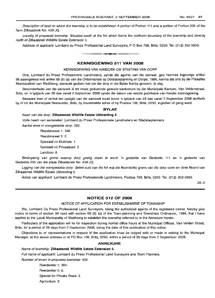Description of land on which the township is to be established: A portion of Portion 111 and a portion of Portion 205 of the farm Zilkaatznek No. 439-JQ.

Locality of proposed township: Situated south of the N4 which forms the northern boundary of the township and directly north of Zilkaatsnet Willdlife Estate Extension 5

Address of applicant: Lombard du Preez Professional Land Surveyors, P O Box 798, Brits, 0250. Tel. (012) 252-5959.

#### **KENNISGEWING 511 VAN 2008**

**•**

#### KENNISGEWING VAN AANSOEK OM STIGTING VAN DORP

Ons, Lombard du Preez Professionele Landmeters, synde die agente van die eienaar, gee hiermee ingevolge artikel 96 saamgelees met artikel 69 (6) (a) van die Ordonnansie op Dorpsbeplanning en Dorpe, 1986, kennis dat ons by die Plaaslike Munisipaliteit van Madibeng, aansoek gedoen het om die dorp in die Bylae hierby genoem, te stig.

Besonderhede van die aansoek lê ter insae gedurende gewone kantoorure by die Munisipale Kantore, Van Veldenstraat, Brits, vir 'n tydperk van 28 dae vanaf 2 September 2008 synde die datum van eerste publikasie van hierdie kennisgewing.

Besware teen of vertoe ten opsigte van die aansoek moet binne 'n tydperk van 28 dae vanaf 2 September 2008 skriftelik by of tot die Munisipale Bestuurder, Brits, by bovermelde adres of by Posbus 106, Brits, 0250, ingedien of gerig word.

#### **BYLAE**

#### Naan van die dorp: **Zilkaatsnek Wildlife Estate Uitbreiding** 4.

Volle naam van aansoeker: Lombard du Preez Professionele Landmeters en Stadsbeplanners.

Aantal erwe in voorqestelde dorp: 362.

Residensieel 1: 348. Residensieel 3: 2. Spesiaal vir Klubhuis: 1. Spesiaal vir Privaatpad: 3. Landbou: 8

Beskrywing van grond waarop dorp gestig staan te word: 'n gedeelte van Gedeelte 111 en 'n gedeelte van Gedeelte 205 van die plaas Zilkaatsnek No. 439-JQ.

Ligging van die voorgestelde dorp: Geleë suid van die N4 wat die Noordelike grens van die dorp vorm en direk Noord van Zilkaatsnek Wildlife Estate Uitbreiding 5.

Adres van applikant: Lombard du Preez Professionele Landmeters, Posbus 798, Brits, 0250. Tel. (012) 252-5959.

26-2

#### **NOTICE 512 OF 2008**

#### NOTICE OF APPLICATION FOR ESTABLISHMENT OF TOWNSHIP

We, Lombard Du Preez Professional Land Surveyors, being the authorized agents of the registered owner, hereby give notice in terms of section 96 read with section 69 (6) (a) of the Town-planning and Townships Ordinance, 1986, that I have applied to the Local Municipality of Madibeng to establish the township referred to in the Annexure hereto.

Particulars of the application will lie for inspection during normal office hours at the Municipal Offices, Van Velden Street, Brits, for a period of 28 days from 2 September 2008, being the date of first publication of this notice.

Objections to or representations in respect of the application must be lodged with or made in writing to the Municipal Manager, at the above address or at PO Box 106, Brits, 0250, within a period of 28 days from 2 September 2008.

#### **ANNEXURE**

#### Name of township: **Zilkaatsnek Wildlife Estate Extension** 5.

Full name of applicant: Lombard du Preez Professional Land Surveyors and Town Planners.

Number of erven in proposed township: 402.

Residential 1: 384. Residential 3: 6. Special for Private Road: 3. Agriculture: 9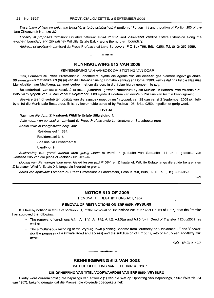Description of land on which the township is to be established: A portion of Portion 111 and a portion of Portion 205 of the farm Zilkaatznek No. 439-JQ.

Locality of proposed township: Situated between Road P106-1 and Zilkaatsnet Willdlife Estate Extension along the southern boundary and Zilkaatsnek Willdlife Estate Ext. 4 along the northern boundary.

Address of applicant: Lombard du Preez Professional Land Surveyors, P O Box 798, Brits, 0250. Tel. (012) 252-5959.

#### KENNISGEWING 512 VAN 2008

**• •**

#### KENNISGEWING VAN AANSOEK OM STIGTING VAN DORP

Ons, Lombard du Preez Professionele Landmeters, synde die agente van die eienaar, gee hiermee ingevolge artikel 96 saamgelees met artikel 69 (6) (a) van die Ordonnansie op Dorpsbeplanning en Dorpe, 1986, kennis dat ons by die Plaaslike Munisipaliteit van Madibeng, aansoek gedoen het om die dorp in die Bylae hierby genoem, te stig.

Besonderhede van die aansoek lê ter insae gedurende gewone kantoorure by die Munisipale Kantore, Van Veldenstraat, Brits, vir 'n tydperk van 28 dae vanaf 2 September 2008 synde die datum van eerste publikasie van hierdie kennisgewing.

Besware teen of vertoë ten opsigte van die aansoek moet binne 'n tydperk van 28 dae vanaf 2 September 2008 skriftelik by of tot die Munisipale Bestuurder, Brits, by bovermelde adres of by Posbus 106, Brits, 0250, ingedien of gerig word.

#### BYLAE

#### Naan van die dorp: Zilkaatsnek Wildlife Estate Uitbreiding 4.

Volle naam van aansoeker: Lombard du Preez Professionele Landmeters en Stadsbeplanners.

Aantal erwe in voorgestelde dorp: 402.

Residensieel 1: 384.

Residensieel 3: 6.

Spesiaal vir Privaatpad: 3.

Landbou: 9

Beskrywing van grond waarop dorp gestig staan te word: 'n gedeelte van Gedeelte 111 en 'n gedeelte van Gedeelte 205 van die plaas Zilkaatsnek No. 439-JQ.

Ligging van die voorgestelde dorp: Geleë tussen pad P106-1 en Zilkaatsnek Wildlife Estate langs die suidelike grens en Zilkaatsnek Wildlife Estate X4, langs die Noordelike grens.

Adres van applikant: Lombard du Preez Professionele Landmeters, Posbus 798, Brits, 0250. Tel. (012) 252-5959.

2-9

#### NOTICE 513 OF 2008

REMOVAL OF RESTRICTIONS ACT, 1967

#### REMOVAL OF RESTRICTIONS ON ERF 5859, VRYBURG

It is hereby notified in terms of section 2 (1) of the Removal of Restrictions Act, 1967 (Act No. 84 of 1967), that the Premier has approved the following:

- The removal of conditions A1.1; AI.1 (a); AI.1 (b); A.1.2; A1.5(a) and A.1.5.(b) in Deed of Transfer T2038/2002 as well as.
- The simultaneous rezoning of the Vryburg Town-planning Scheme from "Authority" to "Residential 2" and "Special" (for the purposes of a Private Road and access) and the subdivision of Erf 5859, into one-hundred and-thirty-four erven.

GO 15/4/2/1/140/7

#### KENNISGEWING 513 VAN 2008

**•**

WET OP OPHEFFING VAN BEPERKINGS, 1967

#### DIE OPHEFFING VAN TITEL VOORWAARDES VAN ERF 5859, VRYBURG

Hierby word ooreenkomstig die bepalings van artikel 2 (1) van die Wet op Opheffing van Beperkings, 1967 (Wet No. 84 van 1967), bekend gemaak dat die Premier die volgende goedgekeur het: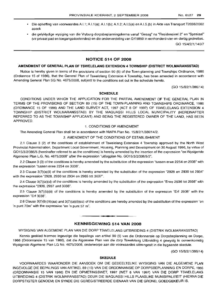- Die opheffing van voorwaardes A.I.1; A.I.1(a); A.I.1(b); A.1.2; A.I.5(a) en A.I.5.(b) in Akte van Transport T2038/2002 asook
- die gelyktydige wysiging van die Vryburg-dorpsbeplanningskema vanaf "Gesag" na "Residensieel 2" en "Spesiaal" (vir privaat pad en toegangsdoeleindes) en die onderverdeling van Erf 5859 in eenhonderd-vier-en-dertig gedeeltes.

GO 15/4/2/1/140/7

#### **NOTICE 514 OF 2008**

#### **AMENDMENT OF GENERAL PLAN OF TSWELELANG EXTENSION 4 TOWNSHIP (DISTRICT WOLMARANSSTAD)**

Notice is hereby given in terms of the provisions of section 90 (5) of the Town-planning and Townships Ordinance, 1986 (Ordiannce 15 of 1986), that the General Plan of Tswelelang Extension 4 Township, has been amended in accordance with Amending General Plan SG No. 4675/2008, subject to the conditions set out in the schedule hereto.

(GO 15/8/2/1/386/14)

#### **SCHEDULE**

CONDITIONS UNDER WHICH THE APPLICATION FOR THE PARTIAL AMENDMENT OF THE GENERAL PLAN IN TERMS OF THE PROVISIONS OF SECTION 89 (15) OF THE TOWN-PLANNING AND TOWNSHIPS ORDINANCE, 1986 (ORDINANCE 15 OF 1986) AND THE LAND SURVEY ACT, 1997 (ACT 8 OF 1997) OF TSWELELANG EXTENSION 4 TOWNSHIP (DISTRICT WOLMARANSSTAD) BY THE MAQUASSI HILLS LOCAL MUNICIPALITY (HEREINAFTER REFERRED TO AS THE TOWNSHIP APPLICANT) AND BEING THE REGISTERED OWNER OF THE LAND, HAS BEEN APPROVED.

#### 1. CONDITIONS OF AMENDMENT

The Amending General Plan shall be in accordance with NWPA Plan No. 15/8/2/1/386/14/2.

2. AMENDMENT OF THE CONDITIONS OF ESTABLISHMENT

2.1 Clause 3 (2) of the conditions of establishment of Tswelelang Extension 4 Township approved by the North West Provincial Administration, Department Local Government, Housing, Planning and Development on 30 August 1996, by virtue of G015/3/2/386/5 (hereinafter referred to as the conditions) is hereby amended by the insertion of the expression "en Wysigende Aigemene Plan L.G. No. 4675/2008" after the expression "uitlegplan No. G015/3/2/386/5/2".

2.2 Clause 3 (3) of the conditions is hereby amended by the substitution of the expression "tussen erwe 2254 en 2938" with the expression "tussen erwe 2254 en 3038".

2.3 Clause 3(7)(a)(ii) of the conditions is hereby amended by the substitution of the expression "2928 en 2930 tot 2934" with the expression "2928, 2930 tot 2934 en 2985 tot 3037".

2.4 Clause  $3(7)(a)(v)$  of the conditions is hereby amended by the substitution of the expression "Erwe 2936 tot 2938" with the expression "2936, 2937 and 3038".

2.5 Clause 3(7)(b)(iii) of the conditions is hereby amended by the substitution of the expression "Erf 2938" with the expression "Erf 3038".

2.6 Clause 3(7)(b)(iii)(aa) and 3(7)(a)(ii)(cc) of the conditions are hereby amended by the substitution of the expression "en 'n punt 70m" with the expression "en 'n punt 57 m".

#### **KENNISGEWING 514 VAN 2008**

**-**

WYSIGING VAN ALGEMENE PLAN VAN DIE DORP TSWELELANG UITBREIDING 4 (DISTRIK WOLMARANSSTAD)

Kennis geskied hiermee ingevolge die bepalings van artikel 90 (5) van die Ordonnansie op Dorpsbeplanning en Dorpe, 1986 (Ordonnansie 15 van 1986), dat die Aigemene Plan van die dorp Tswelelang Uitbreiding 4 gewysig is ooreenkomstig Wysigende Aigemene Plan LG No. 4675/2008, onderworpe aan die voorwaardes uiteengesit in die bygaande skedule.

(GO 15/8/2/1/386/14)

#### **SKEDULE**

VOORWAARDES WAARONDER DIE AANSOEK OM DIE GEDEELTELIKE WYSIGING VAN DIE ALGEMENE PLAN INGEVOLGE DIE BEPALINGS VAN ARTIKEL 89 (15) VAN DIE ORDONNANSIE OP DORPSBEPLANNING EN DORPE, 1986 (ORDONNANSIE 15 VAN 1986) EN DIE OPMETINGSWET, 1997 (WET 8 VAN 1997) VAN DIE DORP TSWELELANG UITBREIDING 4 (DISTRIK WOLMARANSSTAD) DEUR DIE MAQUASSI HILLS PLAASLIKE MUNISIPALITEIT (HIERNA DIE DORPSTIGTER GENOEM) EN SYNDE DIE GEREGISTREERDE EIENAAR VAN DIE GROND, GOEDGEKEUR IS.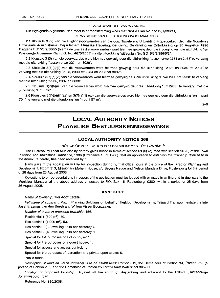#### 1. VOORWAARDES VAN WYSIGING

Die Wysigende Aigemene Plan moet in ooreenstemming wees met NWPA Plan No. 15/8/2/1/386/14/2.

#### 2. WYSIGING VAN DIE STIGTINGSVOORWAARDES

2.1 Klousule 3 (2) van die Stigtingsvoorwaardes van die dorp Tswelelang Uitbreiding 4 goedgekeur deur die Noordwes Provinsiale Administrasie, Departement Plaaslike Regering, Behuising, Beplanning en Ontwikkeling op 30 Augustus 1996 kragtens G015/3/2/386/5 (hierna verwys as die voorwaardes) word hiermee gewysig deur die invoeging van die uitdrukking "en Wysigende Aigemene Plan L.G. No. 4675/2008" na die uitdrukking "uitlegplan No. G015/3/2/386/5/2".

2.2 Klousule 3 (3) van die voorwaardes word hiermee gewysig deur die uitdrukking "tussen erwe 2254 en 2938" te vervang met die uitdrukking "tussen erwe 2254 en 3038".

2.3 Klousule 3(7)(a)(ii) van die voorwaardes word hiermee gewysig deur die uitdrukking "2928 en 2930 tot 2934" te vervang met die uitdrukking "2928, 2930 tot 2934 en 2985 tot 3037".

2.4 Klousule 3(7)(a)(vi) van die voorwaardes word hiermee gewysig deur die uitdrukking "Erwe 2936 tot 2938" te vervang met die uitdrukking "2936, 2937 en 3038".

2.5 Klousule 3(7)(b)(iii) van die voorwaardes word hiermee gewysig deur die uitdrukking "Erf 2938" te vervang met die uitdrukking "Erf 3038".

2.6 Klousules 3(7)(b)(iii)(aa) en 3(7)(a)(ii) (cc) van die voorwaardes word hiermee gewysig deur die uitdrukking "en 'n punt 70m" te vervang met die uitdrukking "en 'n punt 57 m".

2-9

## **LOCAL AUTHORITY NOTICES PLAASLIKE BESTUURSKENNISGEWINGS**

#### **LOCAL AUTHORITY NOTICE 368**

#### NOTICE OF APPLICATION FOR ESTABLISHMENT OF TOWNSHIP

The Rustenburg Local Municipality hereby gives notice in terms of section 69 (6) (a) read with section 96 (3) of the Town Planning and Townships Ordinance, 1986 (Ordinance 15 of 1986), that an application to establish the township referred to in the Annexure hereto, has been received by it.

Particulars of the application will lie for inspection during normal office hours at the office of the Director Planning and Development, Room 313, Missionary Mpheni House, c/o Beyers Naude and Nelson Mandela Drive, Rustenburg for the period of 28 days from 26 August 2008.

Objections to or representations in respect of the application must be lodged with or made in writing and in duplicate to the Municipal Manager at the above address or posted to P.O. Box 16, Rustenburg, 0300, within a period of 28 days from 26 August 2008.

#### **ANNEXURE**

#### Name of township: **Tierkloof Estate.**

Full name of applicant: Maxim Planning Solutions on behalf of Tierkloof Developments, Taljaard Transport, estate the late Josef Erasmus van den Bergh and Willem Visser Boonzaaier.

Number of erven in proposed township: 156.

Residential 1 (800 m<sup>2</sup>): 89.

Residential 1 (1 000 m"): 53.

Residential 2 (25 dwelling units per hectare): 5.

Residential 2 (40 dwelling units per hectare): 1.

Special for the purposes of a club house: 1.

Special for the purposes of a guest house: 1.

Special for access and access control: 1.

Special for the purposes of recreation and private open space: 5.

Public roads.

Description of land on which township is to be established: Portion 319, the Remainder of Portion 34, Portion 265 (a portion of Portion 250) and the Remaining of Portion 250 of the farm Waterkloof 305-JQ.

Location of proposed township: Situated  $\pm 5$  km south of Rustenburg and adjacent to the P16-1 (Rustenburg-Johannesburg) road.

Reference No. 180/2008.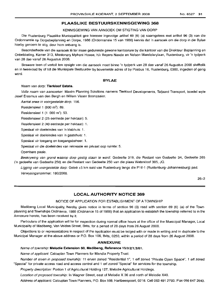#### NO.6527 **31**

#### **PLAASLIKE BESTUURSKENNISGEWING 368**

KENNISGEWING VAN AANSOEK OM STIGTING VAN DORP

Die Rustenburg Plaaslike Munisipaliteit gee hiermee ingevolge artikel 69 (6) (a) saamgelees met artikel 96 (3) van die Ordonnansie op Dorpsbeplanning en Dorpe, 1986 (Ordonnansie 15 van 1986) kennis dat 'n aansoek om die dorp in die Bylae hierby genoem te stig, deur hom ontvang is.

Besonderhede van die aansoek Ie ter insae gedurende gewone kantoorure by die kantoor van die Direkteur Beplanning en Ontwikkeling, Kamer 313, Missionary Mpheni House, h/v Beyers Naude en Nelson Mandelarylaan, Rustenburg, vir 'n tydperk van 28 dae vanaf 26 Augustus 2008.

Besware teen of vertoe ten opsigte van die aansoek moet binne 'n tydperk van 28 dae vanaf 26 Augustus 2008 skriftelik en in tweevoud by of tot die Munisipale Bestuurder by bovemelde adres of by Posbus 16, Rustenburg, 0300, ingedien of gerig word.

#### **BYLAE**

#### Naam van dorp: **Tierkloof Estate.**

Volle naam van aansoeker: Maxim Planning Solutions namens Tierkloof Developments, Taljaard Transport, boedel wyle Josef Erasmus van den Bergh en Willem Visser Boonzaaier.

Aantal erwe in voorgestelde dorp: 156.

Residensieel 1  $(800 \text{ m}^2)$ : 89.

Residensieel 1  $(1, 000 \text{ m}^2)$ : 53.

Residensieel 2 (25 eenhede per hektaar): 5.

Residensieel 2 (40 eenhede per hektaar): 1.

Spesiaal vir doeleindes van 'n klubhuis: 1.

Spesiaal vir doeleindes van 'n gastehuis: 1.

Spesiaal vir toegang en toegangsbeheer: 1.

Spesiaal vir die doeleindes van rekreasie en privaat oop ruimte: 5.

Openbare paaie.

Beskrywing van grond waarop dorp gestig staan te word: Gedeelte 319, die Restant van Gedeelte 34, Gedeelte 265 ('n gedeelte van Gedeelte 250) en die Restant van Gedeelte 250 van die plaas Waterkloof 305, JQ.

Ligging van voorgestelde dorp: Geleë ±5 km suid van Rustenburg langs die P16-1 (Rustenburg-Johannesburg) pad. Verwysingsnommer: 180/2008.

26-2

#### **LOCAL AUTHORITY NOTICE 369**

#### NOTICE OF APPLICATION FOR ESTABLISHMENT OF A TOWNSHIP

Madibeng Local Municipality, hereby gives notice in terms of section 96 (3) read with section 69 (6) (a) of the Townplanning and Townships Ordinance, 1986 (Ordinance 15 of 1986) that an application to establish the township referred to in the Annexure hereto, has been received by it.

Particulars of the application will lie for inspection during normal office hours at the office of the Municipal Manager, Local Municipality of Madibeng, Van Velden Street, Brits, for a period of 28 days from 26 August 2008.

Objections to or representations in respect of the application must be loclged with or made in writing and in duplicate to the Municipal Manager at the above address or P.O. Box 106, Brits, 0250, within a period of 28 days from 26 August 2008.

#### **ANNEXURE**

Name of township: **Melodie Extension 50, Madibeng, Reference** 15/3/2/1/3/61.

Name of applicant: Calcuplan Town Planners for Mandla Property Trust.

Number of erven in proposed township: <sup>11</sup> erven zoned "Residential 1", 1 erf zoned "Private Open Space", 1 erf zoned "Special" for private access road and access control and 1 erf zoned "Special" for services for the township.

Property description: Portion 1 of Agricultural Holding 127, Melodie Agricultural Holdings.

Location of proposed township: In Wagner Street, east of Melodie X 36 and north of Melodie X40.

Address of applicant: Calcuplan Town Planners, P.O. Box 598, Hartbeespoort, 0216. Cell 083 491 2793. Fax 086 647 2640.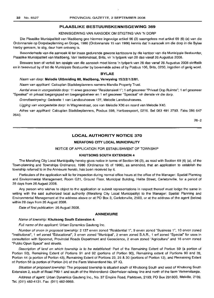#### KENNISGEWING VAN AANSOEK OM STIGTING VAN 'N DORP

Die Plaaslike Munisipaliteit van Madibeng gee hiermee ingevolge artikel 96 (3) saamgelees met artikel 69 (6) (a) van die Ordonnansie op Dorpsbeplanning en Dorpe, 1986 (Ordonnansie 15 van 1986) kennis dat 'n aansoek om die dorp in die Bylae hierby genoem, te stig, deur hom ontvang is.

Besonderhede van die aansoek lê ter insae gedurende gewone kantoorure by die kantoor van die Munisipale Bestuurder, Plaaslike Munisipaliteit van Madibeng, Van Veldenstraat, Brits, vir 'n tydperk van 28 dae vanaf 26 Augustus 2008.

Besware teen of vertoe ten opsigte van die aansoek moet binne 'n tydperk van 28 dae vanaf 26 Augustus 2008 skriftelik en in tweevoud by of tot die Munisipale Bestuurder by bovemelde adres of by Posbus 106, Brits, 0250, ingedien of gerig word.

#### **BYLAE**

Naam van dorp: **Melodie Uitbreiding** 60, **Madibeng, Verwysing** 15/3/2/1/3/61.

Naam van applikant: Calcuplan Stadsbeplanners namens Mandla Property Trust.

Aantal erwe in voorgestelde dorp: 11 erwe gesoneer "Residensieel 1"; 1 erf gesoneer "Privaat Oop Ruimte"; 1 erf gesoneer "Spesiaal" vir privaat toegangspad en toegangsbeheer en 1 erf gesoneer "Spesiaal" vir dienste vir die dorp.

Grondbeskrywing: Gedeelte 1 van Landbouhoewe 127, Melodie Landbouhoewes.

Ligging van voorgestelde dorp: In Wagnerstraat, oos van Melodie X36 en noord van Melodie X40.

Adres van applikant: Calcuplan Stadsbeplanners, Posbus 598, Hartbeespoort, 0216. Sel 083 491 2793. Faks 086 647 2640.

26-2

#### **LOCAL AUTHORITY NOTICE 370**

#### **MERAFONG CITY LOCAL MUNICIPALITY**

NOTICE OF APPLICATION FOR ESTABLISHMENT OF TOWNSHIP

#### **KHUTSONG SOUTH EXTENSION 4**

The Merafong City Local Municipality hereby gives notice in terms of Section 96 (3), as read with Section 69 (6) (a), of the Town-planning and Townships Ordinance, 1986 (Ordinance 15 of 1986), as amended, that an application to establish the township referred to in the Annexure hereto, has been received by it.

Particulars of the application will lie for inspection during normal office hours at the office of the Manager: Spatial Planning and Environmental Management, Room G21, Ground Floor, Municipal Building, Halite Street, Carletonville, for a period of 28 days from 26 August 2008.

Any person who wishes to object to the application or submit representations in respect thereof must lodge the same in writing with the said authorized local authority (Merafong City Local Municipality) to the Manager: Spatial Planning and Environmental Management at the address above or at PO Box 3, Carletonville, 2500, or at the address of the agent (below) within 28 days from 26 August 2008.

Date of first publication: 26 August 2008.

#### **ANNEXURE**

#### Name of township: **Khutsong South Extension 4.**

Full name of the applicant: Urban Dynamics Gauteng Inc.

Number of erven in proposed township: 2137 erven zoned "Residential 1", 9 erven zoned "Business 1", 10 erven zoned "Institutional", 1 erf zoned "Educational", 3 erven zoned "Municipal", 2 erven zoned S.A.R., 1 erf zoned "Special" for uses in consultation with Spoornet, Provincial Roads Department and Geoscience, 2 erven zoned "Agriculture" and 16 erven zoned "Public Open Space" and streets.

Description of land on which township is to be established: Part of the Remaining Extent of Portion 59 (a portion of Portion 50), Remaining Extent of Portions 91 and 92 (portions of Portion 90), Remaining extent of Portions 90 and 28, Portion 44 (a portion of Portion 43), Remaining Extent of Portions 23, 25 & 30 (portions of Portion 12), and Remaining Extent of Portion 58 (a portion of Portion 24) of the Farm Welverdiend No. 97 IQ.

Situation of proposed township: The proposed township is situated south of Khutsong South and west of Khutsong South Extension 2, south of Road P89-1 and south of the Welverdiend-Oberholzer railway line and north of the farm Varkenslaagte.

Address of agent: Urban Dynamics Gauteng Inc., No. 37 Empire Road, Parktown, 2193; PO Box 291803, Melville, 2109. Tel. (011) 482-4131. Fax: (011) 482-9959.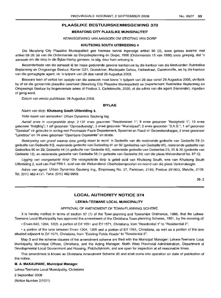#### MERAFONG CITY PLAASLIKE MUNISIPALITEIT

#### KENNISGEWING VAN AANSOEK OM STIGTING VAN DORP

#### KHUTSONG SOUTH UITBREIDING 4

Die Merafong City Plaaslike Munisipaliteit gee hiermee kennis inqevolqe artikel 96 (3), soos gelees tesame met artikel 69 (6) (a) van die Ordonnansie op Dorpsbeplanning en Dorpe, 1986 (Ordonnansie 15 van 1986) soos gewysig, dat 'n aansoek om die dorp in die Bylae hierby genoem, te stig, deur hom ontvanq is.

Besonderhede van die aansoek Ie ter insae gedurende gewone kantoorure by die kantoor van die Bestuurder: Ruimtelike Beplanning en Omgewings Bestuur, Kamer G21, Grondvloer, Munisipale Gebou, Halitestraat, Carletonville, en by die kantoor van die gemagtigde agent, vir 'n tydperk van 28 dae vanaf 26 Augustus 2008.

Besware teen of vertoë ten opsigte van die aansoek moet binne 'n tydperk van 28 dae vanaf 26 Augustus 2008, skriftelik by of tot die genoemde plaaslike owerheid (Merafong City Plaaslike Munisipaliteit) se Departement Ruimtelike Beplanning en Omgewings Bestuur by bogenoemde adres of Posbus 3, Carletonville, 2500, of die adres van die agent (hieronder), ingedien of gerig word.

Datum van eerste publikasie: 26 Augustus 2008.

#### BVLAE

#### Naam van dorp: Khutsong South Uitbreiding 4.

Volle naam van aansoeker: Urban Dynamics Gauteng Ing.

Aantal erwe in voorgestelde dorp: 2 137 erwe gesoneer "Residensieel 1"; 9 erwe gesoneer "Besigheid 1"; 10 erwe gesoneer "Inrigting"; 1 erf gesoneer "Opvoedkundig", 3 erwe gesoneer "Munisipaal"; 2 erwe gesoneer "S.A.S."; 1 erf gesoneer "Spesiaal" vir gebruike in oorleg met Provinsiale Paaie Departement, Spoornet en Raad vir Geowetenskappe; 2 erwe gesoneer "Landbou" en 16 erwe gesoneer "Openbare Oopruimte" en strate.

Beskrywing van grond waarop dorp gestig staan te word: 'n Gedeelte van die resterende gedeelte van Gedeelte 59 ('n gedeelte van Gedeelte 50), resterende gedeelte van Gedeeltes 91 en 92 (gedeeltes van Gedeelte 90), resterende gedeelte van Gedeeltes 90 en 28; Gedeelte 44 ('n gedeelte van Gedeelte 43), resterende gedeelte van Gedeeltes 23, 25 & 30 (gedeelte van Gedeelte 12), en resterende gedeelte van Gedeelte 58 ('n gedeelte van Gedeelte 24) van die plaas Welverdiend No. 97 IQ.

Ligging van voorgestelde dorp: Die voorgestelde dorp is geleë suid van Khutsong South, wes van Khutsong South Uitbreiding 2, suid van Pad P89-1, suid van die Welverdiend-Oberholzerspoorlyn en noord van die plaas Varkenslaagte.

Adres van agent. Urban Dynamics Gauteng Ing., Empireweg No. 37, Parktown, 2193; Posbus 291803, Melville, 2109. Tel. (011) 482-4131. Faks: (011) 482-9959.

26-2

#### **LOCAL AUTHORITY NOTICE** 374

#### LEKWA-TEEMANE LOCAL MUNICIPALITY

#### APPROVAL OF AMENDMENT OF TOWN-PLANNING SCHEME

It is hereby notified in terms of section 57 (1) of the Town-planning and Townships Ordinance, 1986, that the Lekwa-Teemane Local Municipality has approved the amendment of the Christiana Town-planning Scheme, 1981, by the rezoning of:

• Erven 640, 1204, 1205, a portion of Erf 1551 and Erf 1571, Christiana, from "Residential 1" to "Residential 2";

• a portion of the lane between Erven 1204, 1205 and a portion of Erf 1551, Christiana, as well as a portion of the lane situated adjacent to Erf 1571, Christiana, from "Existing Public Roads" to "Residential 2".

Map 3 and the scheme clauses of the amendment scheme are filed with the Municipal Manager: Lekwa-Teemane Local Municipality, Municipal Offices, Christiana, and the Acting Manager: North West Provincial Administration, Department of Developmental Local Government and Housing, Potchefstroom, and are open for inspection at all reasonable times.

This amendment is known as Christiana Amendment Scheme 35 and shall come into operation on date of publication of this notice.

#### M. A. MAKAUPANE, Municipal Manager

Lekwa-Teemane Local Municipality, Christiana

2 September 2008

(Notice Number 2/1011)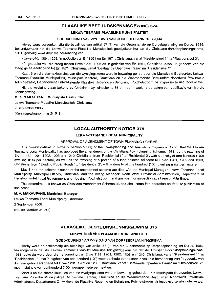#### **LEKWA-TEEMANE PLAASLIKE MliNISIPALITEIT**

#### GOEDKEURING VAN WYSIGING VAN DORPSBEPLANNINGSKEMA

Hierby word ooreenkomstig die bepalings van artikel 57 (1) van die Ordonnansie op Dorpsbeplanning en Dorpe, 1986, bekendgemaak dat die Lekwa-Teemane Plaaslike Munisipaliteit goedgekeur het dat die Christiana-dorpsbeplanningskema, 1981, gewysig word deur die hersonering van:

• Erwe 640, 1204, 1205, 'n gedeelte van Erf 1551 en Erf 1571, Christiana, vanaf "Residensieel 1" na "Residensieel 2";

• 'n gedeelte van die steeg tussen Erwe 1204, 1205 en 'n gedeelte van Erf 1551, Christiana, asook 'n gedeelte van die steeg gelee aanliggend tot Erf 1571, Christiana, vanaf "Bestaande Openbare Paaie" na "Residensieel 2".

Kaart 3 en die skemaklousules van die wysigingskema word in bewaring gehou deur die Munisipale Bestuurder: Lekwa-Teemane Plaaslike Munisipaliteit, Munisipale Kantore, Christiana en die Waarnemende Bestuurder: Noordwes Provinsiale Administrasie, Departement Ontwikkelende Plaaslike Regering en Behuising, Potchefstroom, vir inspeksie te aile redelike tye.

Hierdie wysiging staan bekend as Christiana-wysigingskema 35 en tree in werking op datum van publikasie van hierdie kennisgewing.

#### **M. A. MAKAUPANE, Munisipale Bestuurder**

Lekwa-Teemane Plaaslike Munisipaliteit, Christiana

2 September 2008

(Kennisgewingnommer 2/1011)

#### **LOCAL AUTHORITY NOTICE 375**

#### **LEKWA-TEEMANE LOCAL MUNICIPALITY**

#### APPROVAL OF AMENDMENT OF TOWN-PLANNING SCHEME

It is hereby notified in terms of section 57 (1) of the Town-planning and Townships Ordinance, 1986, that the Lekwa-Teemane Local Municipality has approved the amendment of the Christiana Town-planning Scheme, 1981, by the rezoning of Erven 1189, 1201, 1202, 1203 and 1210, Christiana, from "Residential 1"to "Residential 2", with a density of one hundred (100) dwelling units per hectare, as well as the rezoning of a portion of a lane situated adjacent to Erven 1201, 1202 and 1203, Christiana, from "Existing Public Roads" to "Residential 2", with a density of one hundred (100) dwelling units per hectare.

Map 3 and the scheme clauses of the amendment scheme are filed with the Municipal Manager: Lekwa-Teemane Local Municipality, Municipal Offices, Christiana, and the Acting Manager: North West Provincial Administration, Department of Developmental Local Government and Housing, Potchefstroom, and are open for inspection at all reasonable times.

This amendment is known as Christiana Amendment Scheme 36 and shall come into operation on date of publication of this notice.

#### **M. A. MAKAUPANE, Municipal Manager**

Lekwa-Teemane Local Municipality, Christiana

2 September 2008

(Notice Number 2/1053)

### **PLAASLIKE BESTUURSKENNISGEWING 375**

**••**

#### **LEKWA-TEEMANE PLAASLIKE MUNISIPALITEIT**

#### GOEDKEURING VAN WYSIGING VAN DORPSBEPLANNINGSKEMA

Hierby word ooreenkomstig die bepalings van artikel 57 (1) van die Ordonnansie op Dorpsbeplanning en Dorpe, 1986, bekendgemaak dat die Lekwa-Teemane Plaaslike Munisipaliteit goedgekeur het dat die Christiana-dorpsbeplanningskema, 1981, gewysig word deur die hersonering van Erwe 1189, 1201, 1202, 1203 en 1210, Christiana, vanaf "Residensieel 1" na "Residensieel 2", met 'n digtheid van een honderd (100) wooneenhede per hektaar, asook die hersonering van 'n gedeelte van die laan qelee aanliggend tot Erwe 1201, 1202 en 1203, Christiana, vanaf "Bestaande Openbare Paaie" na "Residensieel 2", met 'n digtheid van eenhonderd (100) wooneenhede per hektaar.

Kaart 3 en die skemaklousules van die wysigingskema word in bewaring gehou deur die Munisipale Bestuurder: Lekwa-Teemane Plaaslike Munisipaliteit, Munisipale Kantore, Christiana en die Waarnemende Bestuurder: Noordwes Provinsiale Administrasie, Departement Ontwikkelende Plaaslike Regering en Behuising, Potchefstroom, vir inspeksie te aile redelike tye.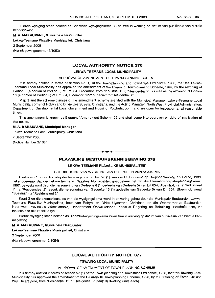#### M. A. MAKAUPANE, Munisipale Bestuurder

Lekwa-Teemane Plaaslike Munisipaliteit, Christiana

2 September 2008

(Kennisgewingnommer 2/1053)

#### LOCAL AUTHORITY NOTICE 376

#### LEKWA-TEEMANE LOCAL MUNICIPALITY

#### APPROVAL OF AMENDMENT OF TOWN-PLANNING SCHEME

It is hereby notified in terms of section 57 (1) of the Town-planning and Townships Ordinance, 1986, that the Lekwa-Teemane Local Municipality has approved the amendment of the Bloemhof Town-planning Scheme, 1997, by the rezoning of Portion 6 (a portion of Portion 5) of Erf 654, Bloemhof, from "Industrial 1" to "Residential 2", as well as the rezoning of Portion 16 (a portion of Portion 5) of Erf 654, Bloemhof, from "Special" to "Residential 2".

Map 3 and the scheme clauses of the amendment scheme are filed with the Municipal Manager: Lekwa- Teemane Local Municipality, corner of Robyn and Dirkie Uys Streets, Christiana, and the Acting Manager: North West Provincial Administration, Department of Developmental Local Government and Housing, Potchefstroom, and are open for inspection at all reasonable times.

This amendment is known as Bloemhof Amendment Scheme 29 and shall come into operation on date of publication of this notice.

#### M. A. MAKAUPANE, Municipal Manager

Lekwa-Teemane Local Municipality, Christiana

2 September 2008

(Notice Number 2/1054)

#### PLAASLIKE BESTUURSKENNISGEWING 376

.**-.**

#### LEKWA·TEEMANE PLAASLIKE MUNISIPALITEIT

#### GOEDKEURING VAN WYSIGING VAN DORPSBEPLANNINGSKEMA

Hierby word ooreenkomstig die bepalings van artikel 57 (1) van die Ordonnansie op Dorpsbeplanning en Darpe, 1986, bekendgemaak dat die Lekwa-Teemane Plaaslike Munisipaliteit goedgekeur het dat die Bloemhof-dorpsbeplanningskema, 1997, gewysig word deur die hersonering van Gedeelte 6 *en* gedeelte van Gedeelte 5) van Erf 654, Bloemhof, vanaf "Industrieel 1" na "Residensieel 2", asook die hersonering van Gedeelte 16 ('n gedeelte van Gedeelte 5) van Erf 654, Bloemhof, vanaf "Spesiaal" na "Residensieel 2".

Kaart 3 en die skemaklousules van die wysigingskema word in bewaring gehou deur die Munisipale Bestuurder: Lekwa-Teemane Plaaslike Munisipaliteit, hoek van RObyn- en Dirkie Uysstraat, Christiana, en die Waarnemende Bestuurder: Noordwes Provinsiale Administrasie, Departement Ontwikkelende Plaaslike Regering en Behuising, Potchefstroom, vir inspeksie te aile redelike tye.

Hierdie wysiging staan bekend as Bloemhof-wysigingskema 29 en tree in werking op datum van publikasie van hierdie kennisgewing.

#### M. A. MAKAUPANE, Munisipale Bestuurder

Lekwa-Teemane Plaaslike Munisipaliteit, Christiana

2 September 2008

(Kennisgewingnommer 2/1054)

#### LOCAL AUTHORITY NOTICE 377

#### TSWAING LOCAL MUNICIPALITY

APPROVAL OF AMENDMENT OF TOWN-PLANNING SCHEME

It is hereby notified in terms of section 57 (1) of the Town-planning and Townships Ordinance, 1986, that the Tswaing Local Municipality has approved the amendment of the Delareyville Town-planning Scheme, 1998, by the rezoning of Erven 248 and 249, Delareyville, from "Residential 1" to "Residential 2" [ten(10) dwelling units each].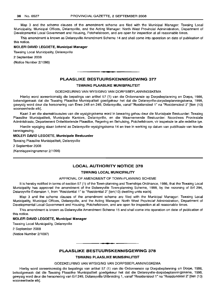Map 3 and the scheme clauses of the amendment scheme are filed with the Municipal Manager: Tswaing Local Municipality, Municipal Offices, Delareyville, and the Acting Manager: North West Provincial Administration, Department of Developmental Local Government and Housing, Potchefstroom, and are open for inspection at all reasonable times.

This amendment is known as Delareyville Amendment Scheme 14 and shall come into operation on date of publication of this notice.

#### **MOLEFI DAVID LEGOETE, Municipal Manager**

Tswaing Local Municipality, Delareyville 2 September 2008 (Notice Number 2/1096)

#### **PLAASLIKE BESTUURSKENNISGEWING 377**

.**- .**

#### **TSWAING PLAASLIKE MUNISIPALITEIT**

#### GOEDKEURING VAN WYSIGING VAN DORPSBEPLANNINGSKEMA

Hierby word ooreenkomstig die bepalings van artikel 57 (1) van die Ordonnansie op Dorpsbeplanning en Dorpe, 1986, bekendgemaak dat die Tswaing Plaaslike Munisipaliteit goedgekeur het dat die Delareyville-dorpsbeplanningskema, 1998, gewysig word deur die hersonering van Erwe 248 en 249, Delareyville, vanaf "Residensieel 1" na "Residensieel 2" [tien (10) wooneenhede elk].

Kaart 3 en die skemaklousules van die wysigingskema word in bewaring gehou deur die Munisipale Bestuurder: Tswaing Plaaslike Munisipaliteit, Munisipale Kantore, Delareyville, en die Waarnemende Bestuurder: Noordwes Provinsiale Administrasie, Departement Ontwikkelende Plaaslike, Regering en Behuising, Potchefstroom, vir inspeksie te aile redelike tye.

Hierdie wysiging staan bekend as Delareyville-wysigingskema 14 en tree in werking op datum van publikasie van hierdie kennisgewing.

#### **MOLEFI DAVID LEGOETE, Munisipale Bestuurder**

Tswaing Plaaslike Munisipaliteit, Delareyville

2 September 2008

(Kennisgewingnommer 2/1096)

#### **LOCAL AUTHORITY NOTICE 378**

#### **TSWAING LOCAL MUNICIPALITY**

#### APPROVAL OF AMENDMENT OF TOWN-PLANNING SCHEME

It is hereby notified in terms of section 57 (1) of the Town-planning and Townships Ordinance, 1986, that the Tswaing Local Municipality has approved the amendment of the Delareyville Town-planning Scheme, 1998, by the rezoning of Erf 294, Delareyville Extension 1, from "Residential 1" to "Residential 2" [ten(10) dwelling units each].

Map 3 and the scheme clauses of the amendment scheme are filed with the Municipal Manager: Tswaing Local Municipality, Municipal Offices, Delareyville, and the Acting Manager: North West Provincial Administration, Department of Developmental Local Government and Housing, Potchefstroom, and are open for inspection at all reasonable times.

This amendment is known as Delareyville Amendment Scheme 15 and shall come into operation on date of publlcation of this notice.

#### **MOLEFI DAVID LEGOETE, Municipal Manager**

Tswaing Local Municipality, Delareyville

2 September 2008

(Notice Number 2/1097)

### **• PLAASLIKE BESTUURSKENNISGEWING 378**

#### **TSWAING PLAASLIKE MUNISIPALITEIT**

#### GOEDKEURING VAN WYSIGING VAN DORPSBEPLANNINGSKEMA

Hierby word ooreenkomstig die bepalings van artikel 57 (1) van die Ordonnansie op Dorpsbeplanning en Dorpe, 1986, bekedgemaak dat die Tswaing Plaaslike Munisipaliteit goedgekeur het dat die Delareyville-dorpsbeplanningskema, 1998, gewysig word deur die hersonering van Erf 249, Delareyville Uitbreiding 1, vanaf "Residensieel 1" na "Residensieel 2" [tien (10) wooneenhede elk].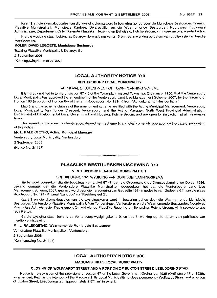Kaart 3 en die skemaklousules van die wysigingskema word in bewaring gehou deur die Munisipale Bestuurder: Tswaing Plaaslike Munisipaliteit, Munisipale Kantore, Delareyville, en die Waarnemende Bestuurder: Noordwes Provinsiale Administrasie, Departement Ontwikkelende Plaaslike, Regering en Behuising, Potchefstroom, vir inspeksie te aile redelike tye.

Hierdie wysiging staan bekend as Delareyville-wysigingskema 15 en tree in werking op datum van publiekasie van hierdie kennisgewing.

#### **MOLEFI DAVID LEGOETE, Munisipale Bestuurder**

Tswaing Plaaslike Munisipaliteit, Delareyviille

2 September 2008

(Kennisgewingnommer 2/1097)

#### **LOCAL AUTHORITY NOTICE 379**

#### **VENTERSDORP LOCAL MUNICIPALITY**

#### APPROVAL OF AMENDMENT OF TOWN-PLANNING SCHEME

It is hereby notified in terms of section 57 (1) of the Town-planning and Townships Ordinance, 1986, that the Ventersdorp Local Municipality has approved the amendment of the Ventersdorp Land Use Management Scheme, 2007, by the rezoning of Portion 193 (a portion of Portion 64) of the farm Roodepoort No. 191-IP, from "Agricultural" to "Residential 2".

Map 3 and the scheme clauses of the amendment scheme are filed with the Acting Municipal Management: Ventersdorp Local Municipality, Van Tonder Crescent, Ventersdorp, and the Acting Manager, North West Provincial Administration: Department of Developmental Local Government and Housing, Potchefstroom, and are open for inspection at all reasonable times.

This amendment is known as Ventersdorp Amendment Scheme 9, and shall come into operation on the date of publication of this notice.

#### **Mr. L. RALEKGETHO, Acting Municipal Manager**

Ventersdorp Local Municipality, Ventersdorp

2 September 2008

(Notice No. 2/1127)

#### **PLAASLIKE BESTUURSKENNISGEWING 379**

**-**

#### **VENTERSDORP PLAASLIKE MUNISIPALITEIT**

#### GOEDKEURING VAN WYSIGING VAN DORPSBEPLANNINGSKEMA

Hierby word ooreenkomstig die bepalings van artikel 57 (1) van die Ordonnansie op Dorpsbeplanning en Dorpe, 1986, bekend gemaak dat die Ventersdorp Plaaslike Munisipaliteit goedgekeur het dat die Ventersdorp Land Use Management Scheme, 2007, gewysig word deur die hersonering van Gedeelte 193 ('n gedeelte van Gedeelte 64) van die plaas Roodepoort No. 191-IP, vanaf "Landbou" na "Residensieel 2".

Kaart 3 en die skemaklousules van die wysigingskema word in bewaring gehou deur die Waarnemende Munisipale Bestuurder: Ventersdorp Plaaslike Munisipaliteit, Van Tondersingel, Ventersclorp, en die Waarnemende Bestuurder: Noordwes Provinsiale Administrasie: Departement Ontwikkelende Plaaslike Regering en Behuising, Potchefstroom, vir inspeksie te aile redelike tye.

Hierdie wysiging staan bekend as Ventersdorp-wysigingskema 9, en tree in werking op die datum van publikasie van hierdie kennisgewing.

#### **Mr. L. RALEKGETHO, Waarnemende Munisipale Bestuurder**

Ventersdorp Plaaslike Munisipaliteit, Ventersdorp

2 September 2008

(Kennisgewing No. 2/1127)

#### **LOCAL AUTHORITY NOTICE 380**

#### **MAQUASSI HILLS LOCAL MUNICIPALITY**

#### **CLOSING OF WOLFAARDT STREET AND A PORTION OF BUXTON STREET, LEEUDORINGSTAD**

Notice is hereby given of the provisions of section 67 of the Local Government Ordinance, 1939 (Ordinance 17 of 1939), as amended, that it is the intention of the Maquassi Hills Local Municipality to close permanently Wolfaardt Street and a portion of Buxton Street, Leeudoringstad, approximately 2 571 m<sup>2</sup> in extent.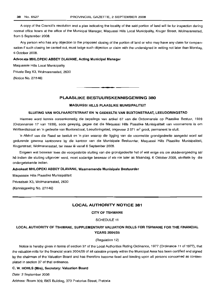A copy of the Council's resolution and a plan indicating the locality of the said portion of land will lie for inspection during normal office hours at the office of the Municipal Manager, Maquassi Hills Local Municipality, Kruger Street, Wolmaransstad, from 5 September 2008.

Any person who has any objection to the proposed closing of the portion of land or who may have any claim for compensation if such closing be carried out, must lodge such objection or claim with the undersigned in writing not later than Monday, 6 October 2008.

#### Advocate MHLOPEKI ABBEY DLAVANE, Acting Municipal Manager

Maquassie Hills Local Municipality

Private Bag X3, Wolmaransstad, 2630

(Notice No. 2/1146)

#### PLAASLIKE BESTUURSKENNISGEWING 380

**•**

#### MAQUASSI HILLS PLAASLIKE MUNISIPALITEIT

#### SLUITING VAN WOLFAARDTSTRAAT EN 'N GEDEELTE VAN BUXTONSTRAAT, LEEUDORINGSTAD

Hiermee word kennis ooreenkomstig die bepalings van artikel 67 van die Ordonnansie op Plaaslike Bestuur, 1939 (Ordonnansie 17 van 1939), soos gewysig, gegee dat die Maquassi Hills Plaaslike Munisipaliteit van voornemens is om Wolfaardtstraat en 'n gedeelte van Buxtonstraat, Leeudoringstad, ongeveer 2 571 m<sup>2</sup> groot, permanent te sluit.

'n Afskrif van die Raad se besluit en 'n plan waarop die Iigging van die voormelde grondgedeelte aangedui word sal gedurende gewone kantoorure by die kantoor van die Munisipale Bestuurder, Maquassi Hills Plaaslike Munisipaliteit, Krugerstraat, Wolmaransstad, ter insae lê vanaf 6 September 2008.

Enigeen wat beswaar teen die voorgestelde sluiting van die grondgedeelte het of wat enige eis om skadevergoeding sal hê indien die sluiting uitgevoer word, moet sodanige beswaar of eis nie later as Maandag, 6 Oktober 2008, skriftelik by die ondergetekende indien.

#### Advokaat MHLOPEKI ABBEY DLAVANE, Waarnemende Munisipale Bestuurder

Maquassie Hills Plaaslike Munisipaliteit Privaatsak X3, Wolmaransstad, 2630 (Kennisgewing No. 2/1146)

#### LOCAL AUTHORITY NOTICE 381

#### CITY OF TSHWANE

#### SCHEDULE 11

### LOCAL AUTHORITY OF TSHWANE, SUPPLEMENTARY VALUATION ROLLS FOR TSHWANE FOR THE FINANCIAL YEARS 2004/05

#### (Regulation 12)

Notice is hereby given in terms of section 37 of the Local Authorities Rating Ordinance, 1977 (Ordinance 11 of 1977), that the valuation rolls for the financial years 2004/05 of all rateable propety within the Municipal Area has been certified and signed by the chairman of the Valuation Board and has therefore become fixed and binding upon all persons concerned as contemplated in section 37 of that ordinance.

#### C. W. HOHLS (Mrs), Secretary: Valuation Board

Date: 2 September 2008

Address: Room 309, BKS Building, 373 Pretorius Street, Pretoria